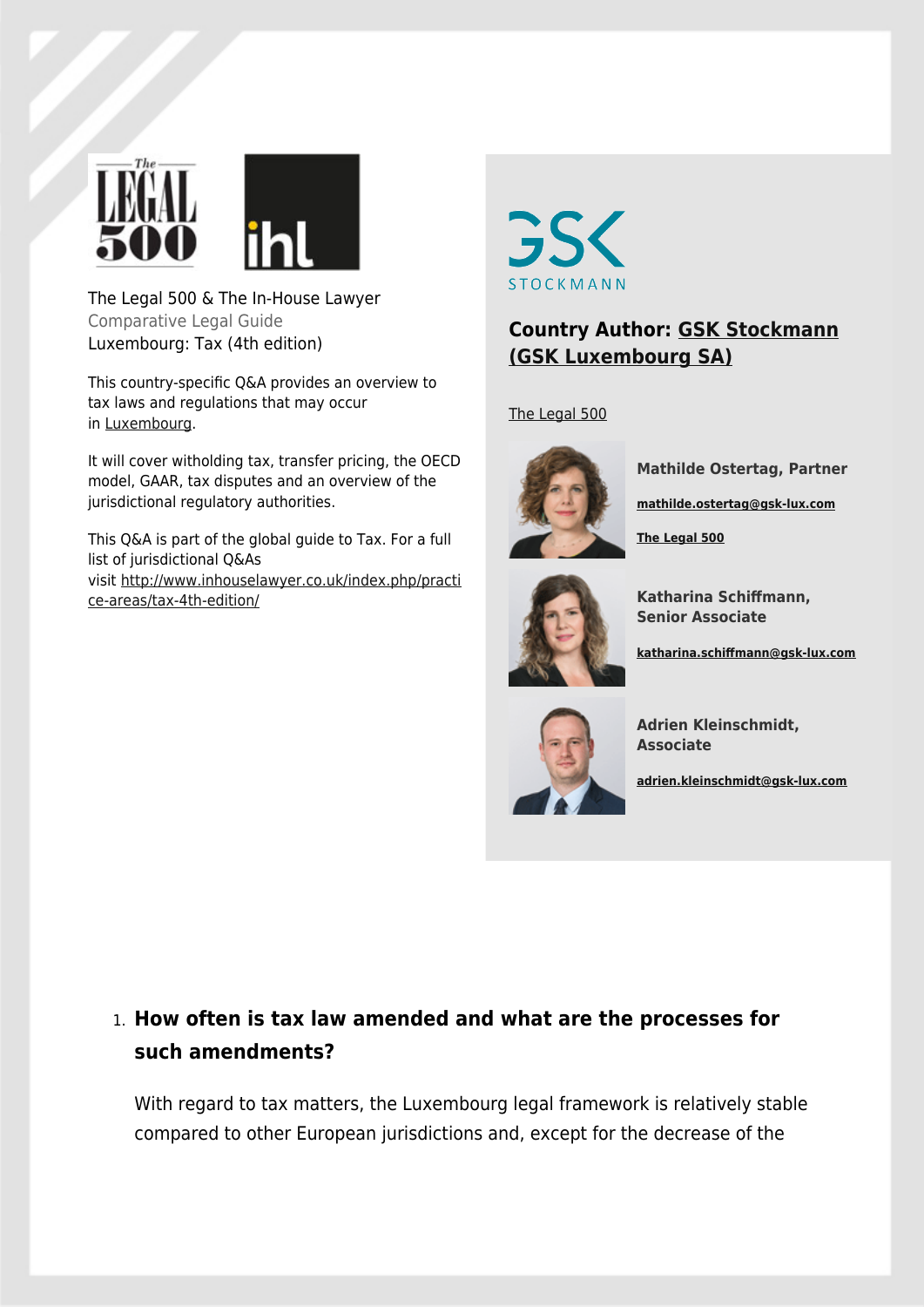

The Legal 500 & The In-House Lawyer Comparative Legal Guide Luxembourg: Tax (4th edition)

This country-specific Q&A provides an overview to tax laws and regulations that may occur in [Luxembourg.](http://www.inhouselawyer.co.uk/regions/europe/luxembourg/)

It will cover witholding tax, transfer pricing, the OECD model, GAAR, tax disputes and an overview of the jurisdictional regulatory authorities.

This Q&A is part of the global guide to Tax. For a full list of jurisdictional Q&As visit [http://www.inhouselawyer.co.uk/index.php/practi](http://www.inhouselawyer.co.uk/index.php/practice-areas/tax-4th-edition/) [ce-areas/tax-4th-edition/](http://www.inhouselawyer.co.uk/index.php/practice-areas/tax-4th-edition/)



### **Country Author: [GSK Stockmann](https://www.legal500.com/firms/15970-gsk-stockmann/23993-luxembourg-) [\(GSK Luxembourg SA\)](https://www.legal500.com/firms/15970-gsk-stockmann/23993-luxembourg-)**

[The Legal 500](https://www.legal500.com/firms/15970-gsk-stockmann/23993-luxembourg-)



**Mathilde Ostertag, Partner**

**[mathilde.ostertag@gsk-lux.com](mailto:mathilde.ostertag@gsk-lux.com)**

**[The Legal 500](https://www.legal500.com/firms/15970-gsk-stockmann/offices/23993-luxembourg-/lawyers/9022719)**



**Katharina Schiffmann, Senior Associate**

**[katharina.schiffmann@gsk-lux.com](mailto:katharina.schiffmann@gsk-lux.com)**



**Adrien Kleinschmidt, Associate**

**[adrien.kleinschmidt@gsk-lux.com](mailto:adrien.kleinschmidt@gsk-lux.com)**

## 1. **How often is tax law amended and what are the processes for such amendments?**

With regard to tax matters, the Luxembourg legal framework is relatively stable compared to other European jurisdictions and, except for the decrease of the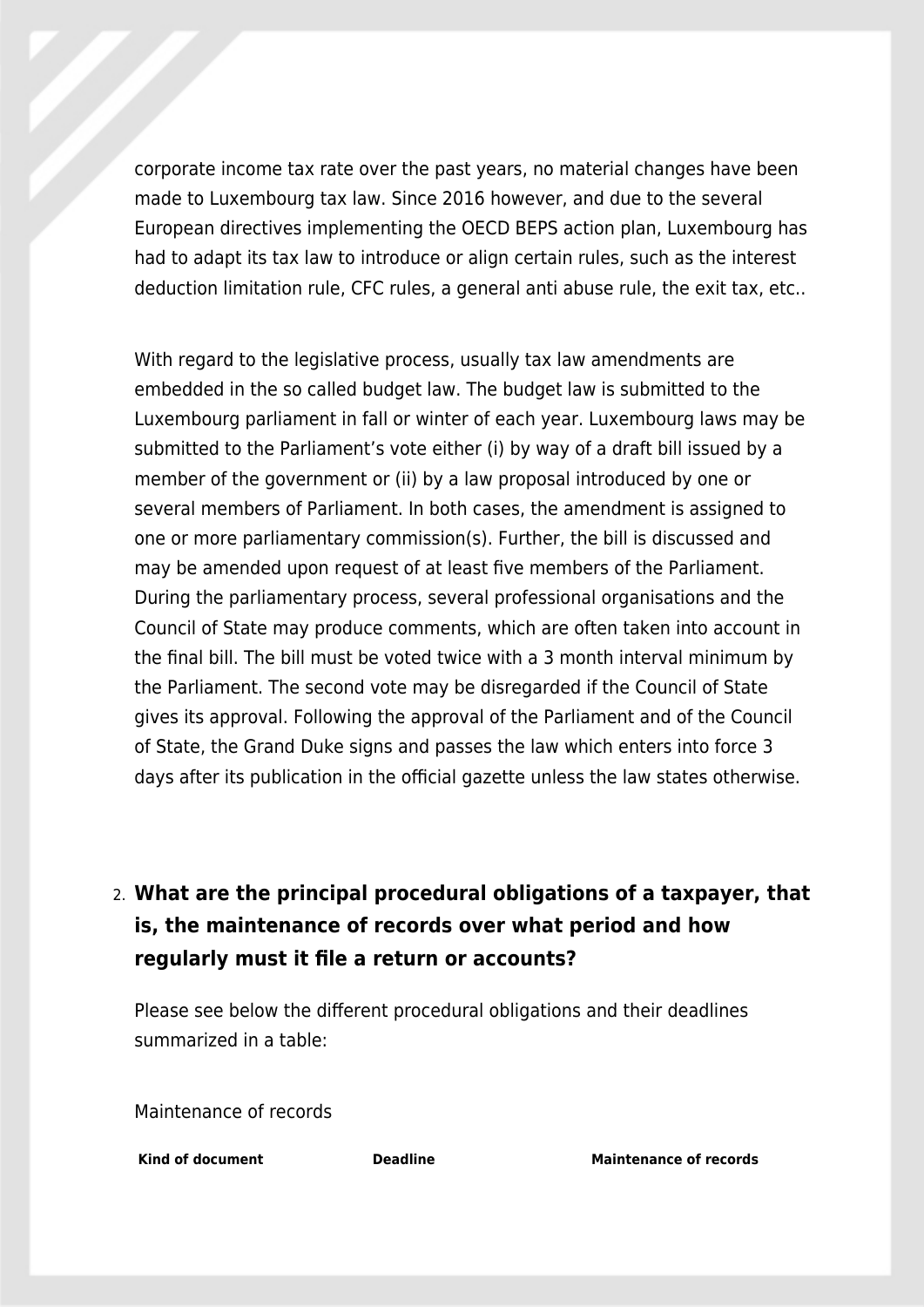corporate income tax rate over the past years, no material changes have been made to Luxembourg tax law. Since 2016 however, and due to the several European directives implementing the OECD BEPS action plan, Luxembourg has had to adapt its tax law to introduce or align certain rules, such as the interest deduction limitation rule, CFC rules, a general anti abuse rule, the exit tax, etc..

With regard to the legislative process, usually tax law amendments are embedded in the so called budget law. The budget law is submitted to the Luxembourg parliament in fall or winter of each year. Luxembourg laws may be submitted to the Parliament's vote either (i) by way of a draft bill issued by a member of the government or (ii) by a law proposal introduced by one or several members of Parliament. In both cases, the amendment is assigned to one or more parliamentary commission(s). Further, the bill is discussed and may be amended upon request of at least five members of the Parliament. During the parliamentary process, several professional organisations and the Council of State may produce comments, which are often taken into account in the final bill. The bill must be voted twice with a 3 month interval minimum by the Parliament. The second vote may be disregarded if the Council of State gives its approval. Following the approval of the Parliament and of the Council of State, the Grand Duke signs and passes the law which enters into force 3 days after its publication in the official gazette unless the law states otherwise.

## 2. **What are the principal procedural obligations of a taxpayer, that is, the maintenance of records over what period and how regularly must it file a return or accounts?**

Please see below the different procedural obligations and their deadlines summarized in a table:

Maintenance of records

**Kind of document Deadline Maintenance of records**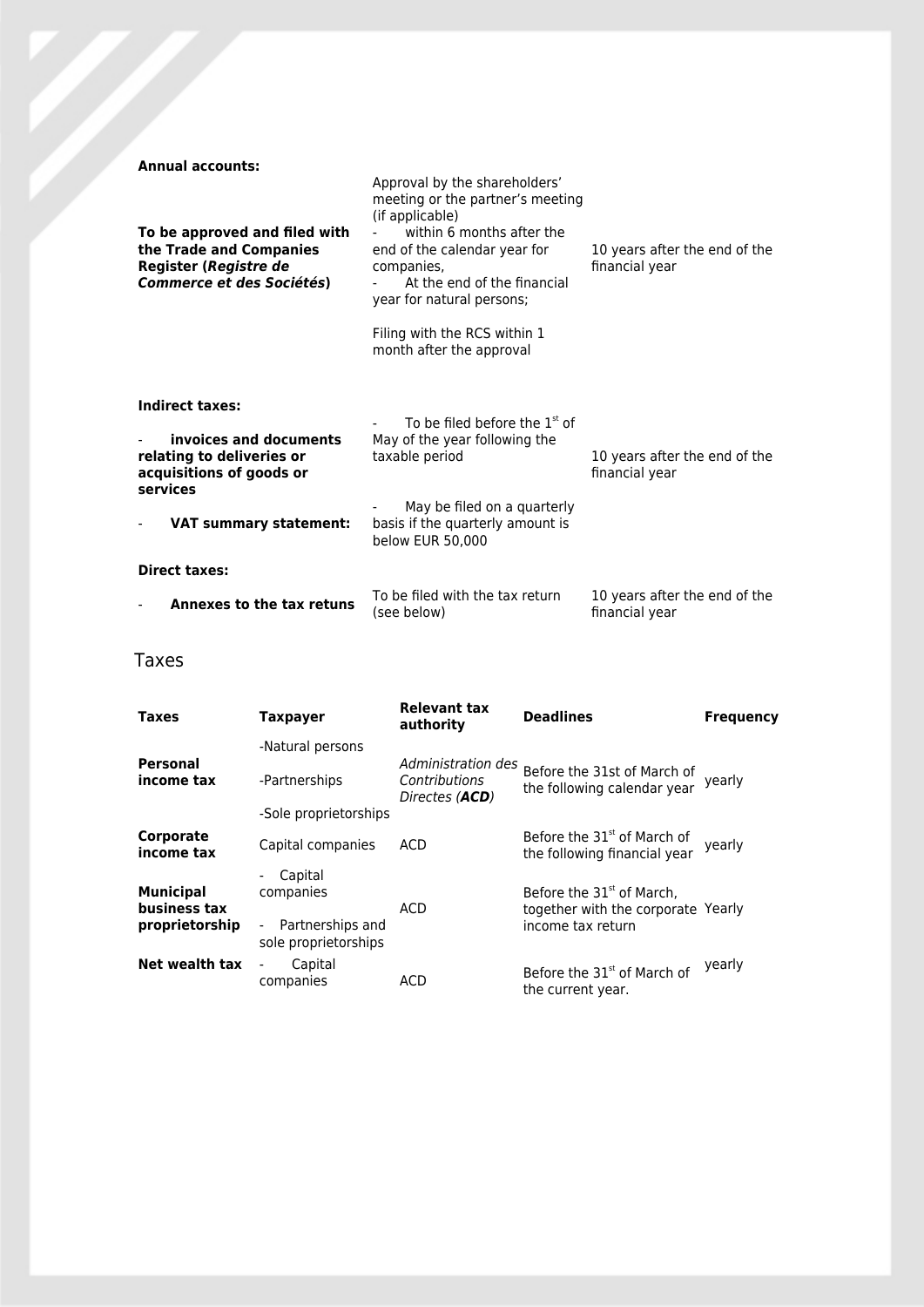| <b>Annual accounts:</b><br>To be approved and filed with<br>the Trade and Companies<br>Register (Registre de<br><b>Commerce et des Sociétés)</b> | Approval by the shareholders'<br>meeting or the partner's meeting<br>(if applicable)<br>within 6 months after the<br>end of the calendar year for<br>companies,<br>At the end of the financial<br>year for natural persons;<br>Filing with the RCS within 1<br>month after the approval | 10 years after the end of the<br>financial year |  |  |
|--------------------------------------------------------------------------------------------------------------------------------------------------|-----------------------------------------------------------------------------------------------------------------------------------------------------------------------------------------------------------------------------------------------------------------------------------------|-------------------------------------------------|--|--|
| Indirect taxes:<br>invoices and documents<br>relating to deliveries or<br>acquisitions of goods or<br>services<br><b>VAT summary statement:</b>  | To be filed before the $1st$ of<br>May of the year following the<br>taxable period<br>May be filed on a quarterly<br>basis if the quarterly amount is<br>below EUR 50,000                                                                                                               | 10 years after the end of the<br>financial year |  |  |
| <b>Direct taxes:</b>                                                                                                                             |                                                                                                                                                                                                                                                                                         |                                                 |  |  |
| Annexes to the tax retuns                                                                                                                        | To be filed with the tax return<br>(see below)                                                                                                                                                                                                                                          | 10 years after the end of the<br>financial year |  |  |

### Taxes

| <b>Taxes</b>                                       | Taxpayer                                                                                                                 | <b>Relevant tax</b><br>authority                               | <b>Deadlines</b>                                                                                 | <b>Frequency</b> |
|----------------------------------------------------|--------------------------------------------------------------------------------------------------------------------------|----------------------------------------------------------------|--------------------------------------------------------------------------------------------------|------------------|
|                                                    | -Natural persons                                                                                                         |                                                                |                                                                                                  |                  |
| Personal<br>income tax                             | -Partnerships                                                                                                            | Administration des<br>Contributions<br>Directes ( <b>ACD</b> ) | Before the 31st of March of<br>the following calendar year                                       | yearly           |
|                                                    | -Sole proprietorships                                                                                                    |                                                                |                                                                                                  |                  |
| Corporate<br>income tax                            | Capital companies                                                                                                        | <b>ACD</b>                                                     | Before the 31 <sup>st</sup> of March of<br>the following financial year                          | yearly           |
| <b>Municipal</b><br>business tax<br>proprietorship | Capital<br>$\overline{\phantom{a}}$<br>companies<br>Partnerships and<br>$\overline{\phantom{0}}$<br>sole proprietorships | ACD                                                            | Before the 31 <sup>st</sup> of March,<br>together with the corporate Yearly<br>income tax return |                  |
| Net wealth tax                                     | Capital<br>companies                                                                                                     | <b>ACD</b>                                                     | Before the 31 <sup>st</sup> of March of<br>the current year.                                     | yearly           |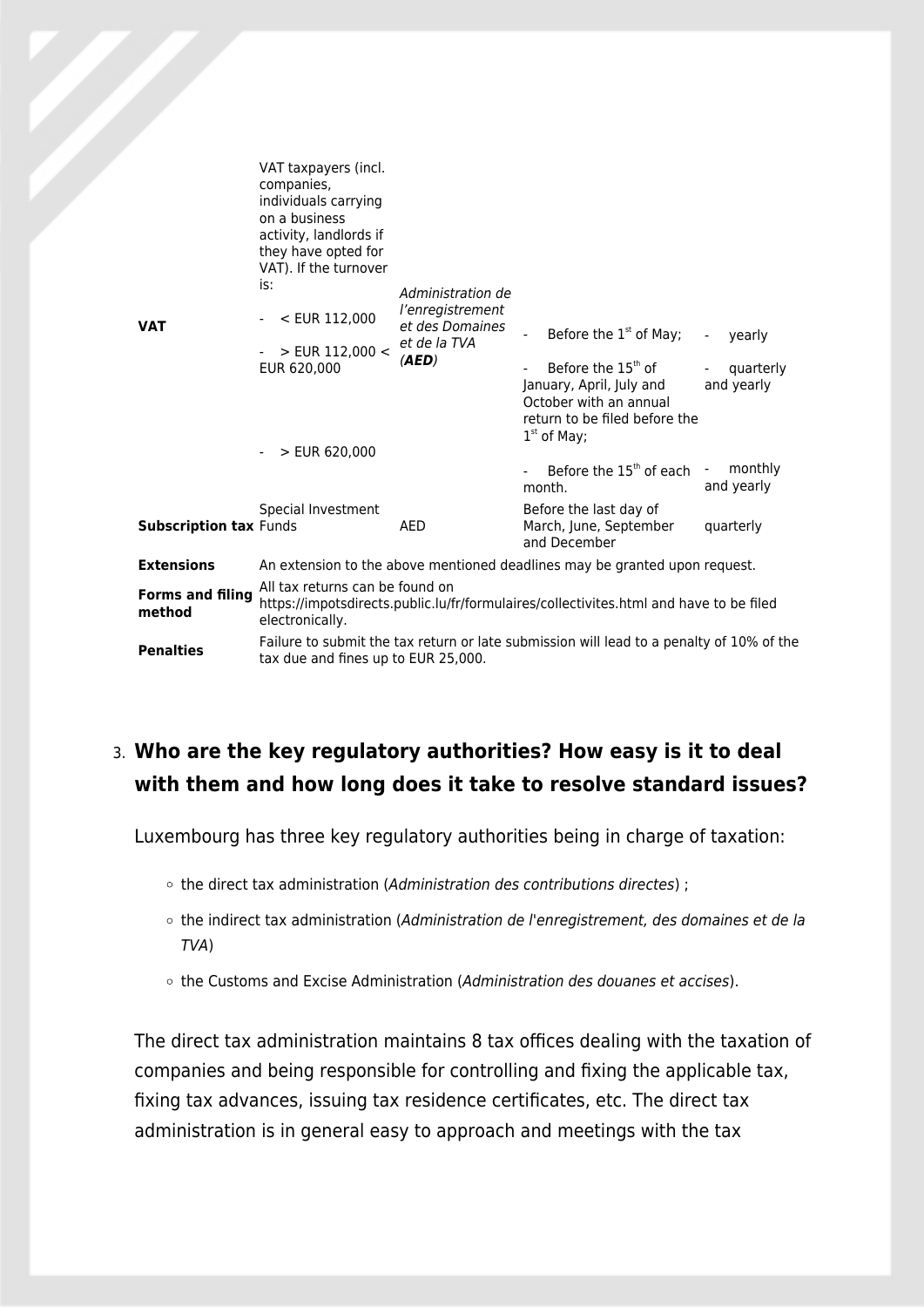| <b>VAT</b> |                                   | VAT taxpayers (incl.<br>companies,<br>individuals carrying<br>on a business<br>activity, landlords if<br>they have opted for<br>VAT). If the turnover<br>is: | Administration de<br>l'enregistrement<br>et des Domaines<br>et de la TVA<br>(AED) |                                                                                                                                        |                          |
|------------|-----------------------------------|--------------------------------------------------------------------------------------------------------------------------------------------------------------|-----------------------------------------------------------------------------------|----------------------------------------------------------------------------------------------------------------------------------------|--------------------------|
|            |                                   | < EUR 112,000                                                                                                                                                |                                                                                   | Before the $1st$ of May;                                                                                                               | yearly<br>$\blacksquare$ |
|            |                                   | > EUR 112,000 <<br>EUR 620,000<br>$>$ EUR 620,000                                                                                                            |                                                                                   | Before the 15 <sup>th</sup> of<br>January, April, July and<br>October with an annual<br>return to be filed before the<br>$1st$ of May; | quarterly<br>and yearly  |
|            |                                   |                                                                                                                                                              |                                                                                   | Before the $15th$ of each $-$<br>month.                                                                                                | monthly<br>and yearly    |
|            |                                   | Special Investment                                                                                                                                           |                                                                                   | Before the last day of                                                                                                                 |                          |
|            | <b>Subscription tax Funds</b>     |                                                                                                                                                              | AED                                                                               | March, June, September<br>and December                                                                                                 | quarterly                |
|            | <b>Extensions</b>                 | An extension to the above mentioned deadlines may be granted upon request.                                                                                   |                                                                                   |                                                                                                                                        |                          |
|            | <b>Forms and filing</b><br>method | All tax returns can be found on<br>https://impotsdirects.public.lu/fr/formulaires/collectivites.html and have to be filed<br>electronically.                 |                                                                                   |                                                                                                                                        |                          |
|            | <b>Penalties</b>                  | tax due and fines up to EUR 25,000.                                                                                                                          |                                                                                   | Failure to submit the tax return or late submission will lead to a penalty of 10% of the                                               |                          |

### 3. **Who are the key regulatory authorities? How easy is it to deal with them and how long does it take to resolve standard issues?**

Luxembourg has three key regulatory authorities being in charge of taxation:

- o the direct tax administration (Administration des contributions directes) ;
- the indirect tax administration (Administration de l'enregistrement, des domaines et de la TVA)
- o the Customs and Excise Administration (Administration des douanes et accises).

The direct tax administration maintains 8 tax offices dealing with the taxation of companies and being responsible for controlling and fixing the applicable tax, fixing tax advances, issuing tax residence certificates, etc. The direct tax administration is in general easy to approach and meetings with the tax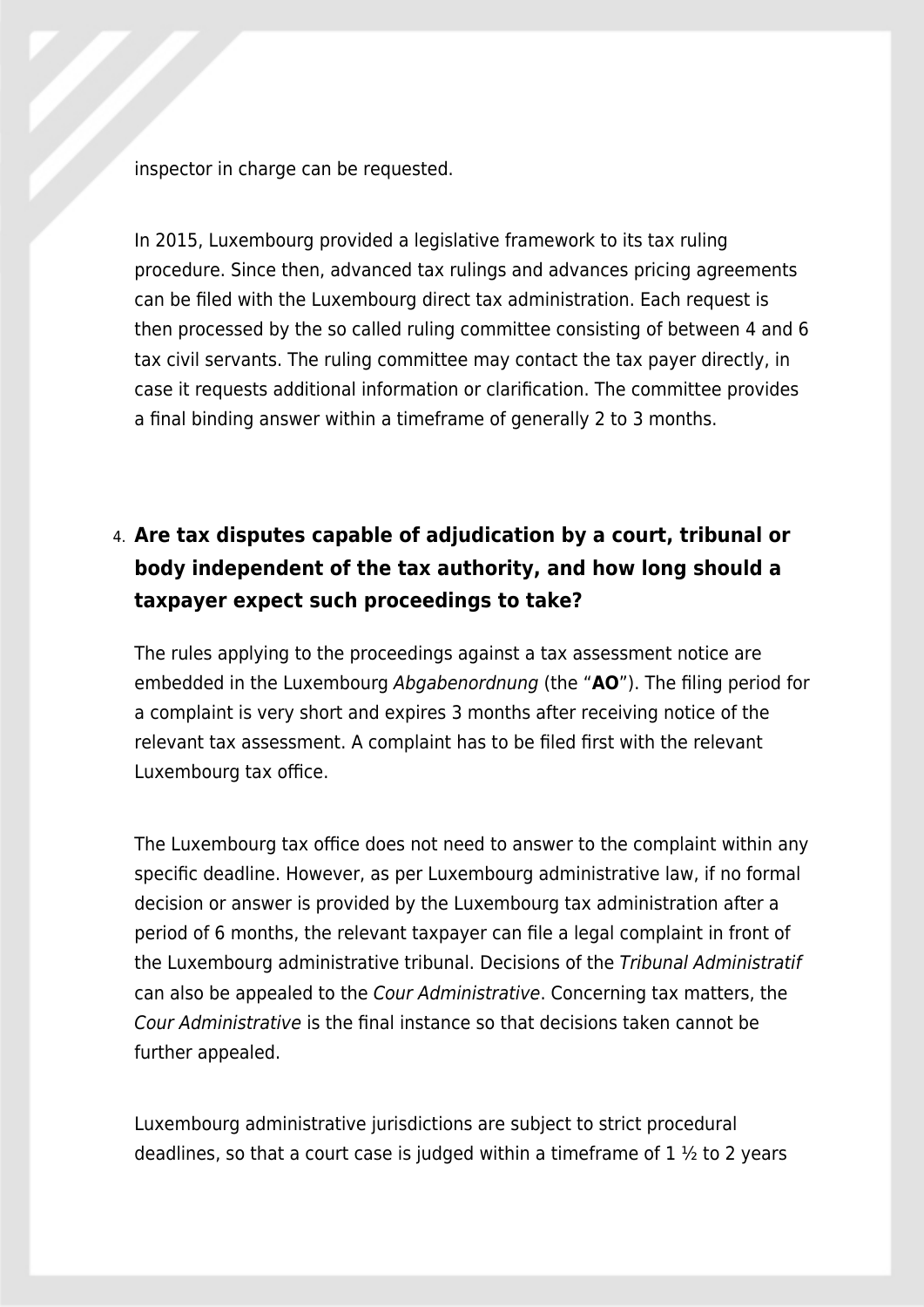inspector in charge can be requested.

In 2015, Luxembourg provided a legislative framework to its tax ruling procedure. Since then, advanced tax rulings and advances pricing agreements can be filed with the Luxembourg direct tax administration. Each request is then processed by the so called ruling committee consisting of between 4 and 6 tax civil servants. The ruling committee may contact the tax payer directly, in case it requests additional information or clarification. The committee provides a final binding answer within a timeframe of generally 2 to 3 months.

# 4. **Are tax disputes capable of adjudication by a court, tribunal or body independent of the tax authority, and how long should a taxpayer expect such proceedings to take?**

The rules applying to the proceedings against a tax assessment notice are embedded in the Luxembourg Abgabenordnung (the "**AO**"). The filing period for a complaint is very short and expires 3 months after receiving notice of the relevant tax assessment. A complaint has to be filed first with the relevant Luxembourg tax office.

The Luxembourg tax office does not need to answer to the complaint within any specific deadline. However, as per Luxembourg administrative law, if no formal decision or answer is provided by the Luxembourg tax administration after a period of 6 months, the relevant taxpayer can file a legal complaint in front of the Luxembourg administrative tribunal. Decisions of the Tribunal Administratif can also be appealed to the Cour Administrative. Concerning tax matters, the Cour Administrative is the final instance so that decisions taken cannot be further appealed.

Luxembourg administrative jurisdictions are subject to strict procedural deadlines, so that a court case is judged within a time frame of  $1 \frac{1}{2}$  to 2 years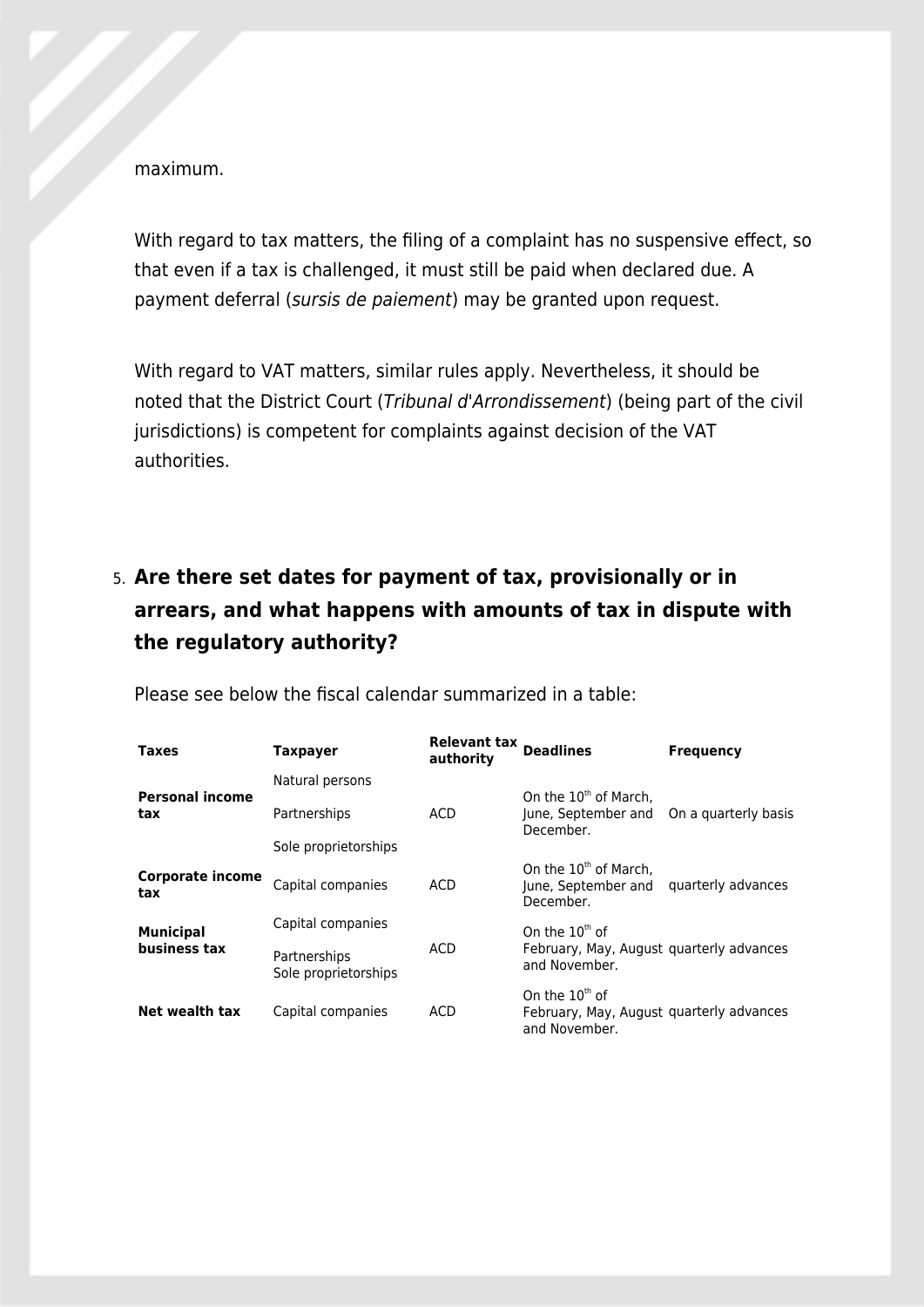maximum.

With regard to tax matters, the filing of a complaint has no suspensive effect, so that even if a tax is challenged, it must still be paid when declared due. A payment deferral (sursis de paiement) may be granted upon request.

With regard to VAT matters, similar rules apply. Nevertheless, it should be noted that the District Court (Tribunal d'Arrondissement) (being part of the civil jurisdictions) is competent for complaints against decision of the VAT authorities.

# 5. **Are there set dates for payment of tax, provisionally or in arrears, and what happens with amounts of tax in dispute with the regulatory authority?**

| <b>Taxes</b>                  | Taxpayer                             | Relevant tax Deadlines<br>authority |                                                                               | <b>Frequency</b>     |
|-------------------------------|--------------------------------------|-------------------------------------|-------------------------------------------------------------------------------|----------------------|
|                               | Natural persons                      |                                     |                                                                               |                      |
| <b>Personal income</b><br>tax | Partnerships                         | ACD                                 | On the 10 <sup>th</sup> of March,<br>June, September and<br>December.         | On a quarterly basis |
|                               | Sole proprietorships                 |                                     |                                                                               |                      |
| Corporate income<br>tax       | Capital companies                    | <b>ACD</b>                          | On the 10 <sup>th</sup> of March,<br>June, September and<br>December.         | quarterly advances   |
| <b>Municipal</b>              | Capital companies                    | <b>ACD</b>                          | On the $10th$ of                                                              |                      |
| business tax                  | Partnerships<br>Sole proprietorships |                                     | February, May, August quarterly advances<br>and November.                     |                      |
| Net wealth tax                | Capital companies                    | ACD                                 | On the $10th$ of<br>February, May, August guarterly advances<br>and November. |                      |

Please see below the fiscal calendar summarized in a table: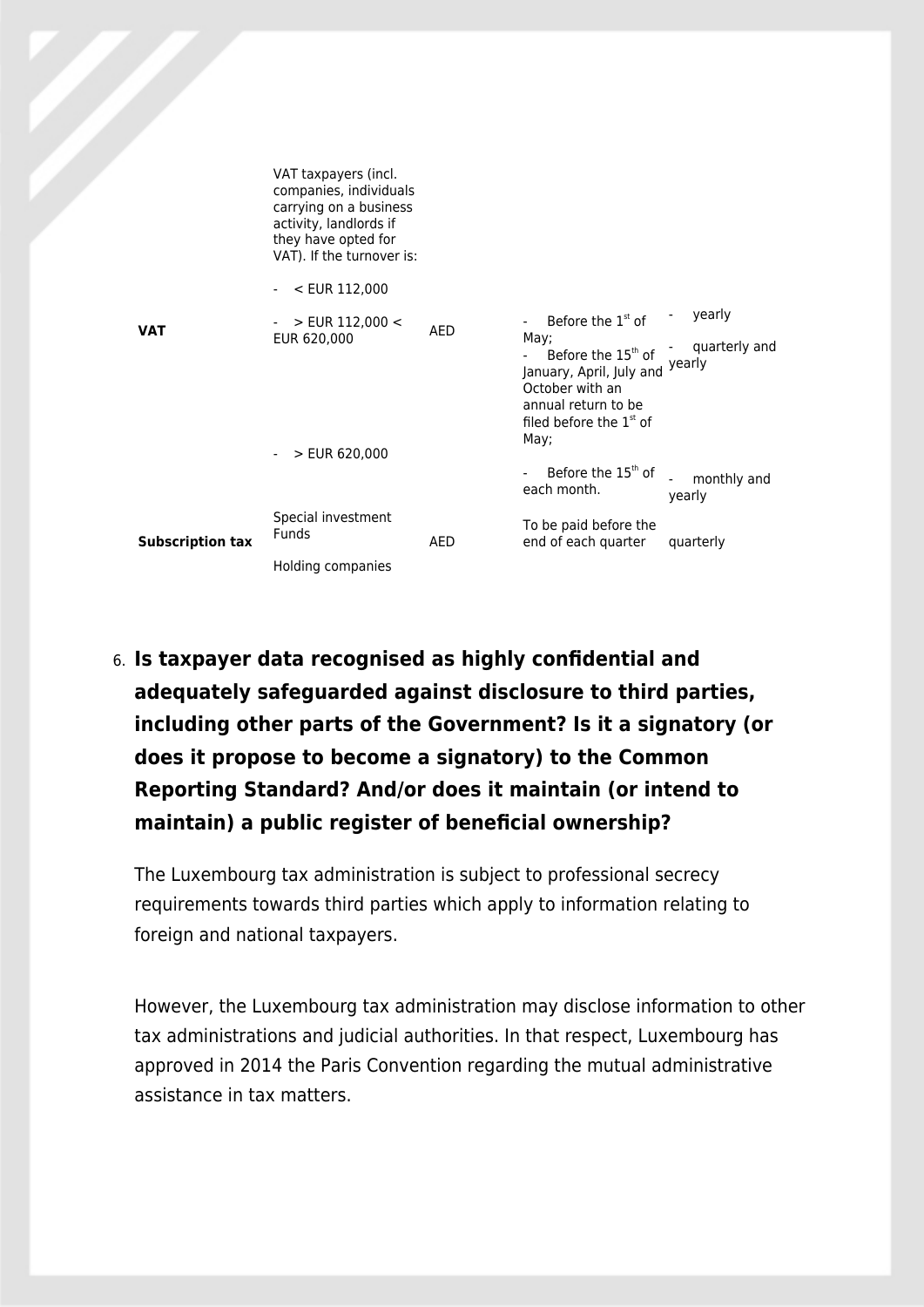|                         | VAT taxpayers (incl.<br>companies, individuals<br>carrying on a business<br>activity, landlords if<br>they have opted for<br>VAT). If the turnover is: |            |                                                                                                                                                          |                       |
|-------------------------|--------------------------------------------------------------------------------------------------------------------------------------------------------|------------|----------------------------------------------------------------------------------------------------------------------------------------------------------|-----------------------|
|                         | $- <$ EUR 112,000                                                                                                                                      |            |                                                                                                                                                          |                       |
| <b>VAT</b>              | $>$ EUR 112,000 $<$                                                                                                                                    | <b>AED</b> | Before the 1 <sup>st</sup> of                                                                                                                            | yearly                |
|                         | EUR 620,000                                                                                                                                            |            | May;<br>Before the 15 <sup>th</sup> of<br>January, April, July and Yearly<br>October with an<br>annual return to be<br>filed before the $1st$ of<br>May; | quarterly and         |
|                         | $-$ > EUR 620,000                                                                                                                                      |            |                                                                                                                                                          |                       |
|                         |                                                                                                                                                        |            | Before the 15 <sup>th</sup> of<br>each month.                                                                                                            | monthly and<br>yearly |
| <b>Subscription tax</b> | Special investment<br><b>Funds</b>                                                                                                                     | AED        | To be paid before the<br>end of each quarter                                                                                                             | quarterly             |
|                         | Holding companies                                                                                                                                      |            |                                                                                                                                                          |                       |

6. **Is taxpayer data recognised as highly confidential and adequately safeguarded against disclosure to third parties, including other parts of the Government? Is it a signatory (or does it propose to become a signatory) to the Common Reporting Standard? And/or does it maintain (or intend to maintain) a public register of beneficial ownership?**

The Luxembourg tax administration is subject to professional secrecy requirements towards third parties which apply to information relating to foreign and national taxpayers.

However, the Luxembourg tax administration may disclose information to other tax administrations and judicial authorities. In that respect, Luxembourg has approved in 2014 the Paris Convention regarding the mutual administrative assistance in tax matters.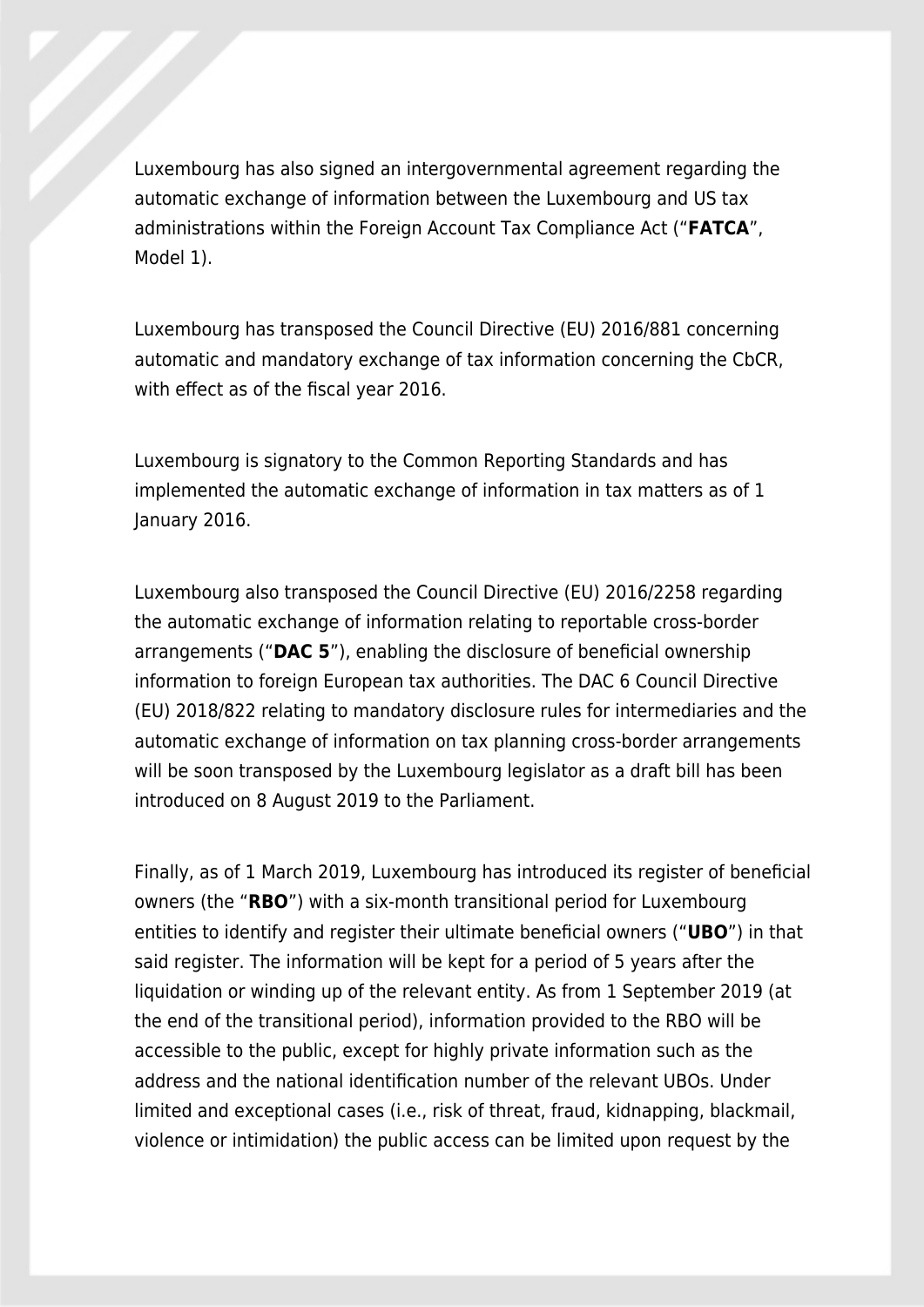Luxembourg has also signed an intergovernmental agreement regarding the automatic exchange of information between the Luxembourg and US tax administrations within the Foreign Account Tax Compliance Act ("**FATCA**", Model 1).

Luxembourg has transposed the Council Directive (EU) 2016/881 concerning automatic and mandatory exchange of tax information concerning the CbCR, with effect as of the fiscal year 2016.

Luxembourg is signatory to the Common Reporting Standards and has implemented the automatic exchange of information in tax matters as of 1 January 2016.

Luxembourg also transposed the Council Directive (EU) 2016/2258 regarding the automatic exchange of information relating to reportable cross-border arrangements ("**DAC 5**"), enabling the disclosure of beneficial ownership information to foreign European tax authorities. The DAC 6 Council Directive (EU) 2018/822 relating to mandatory disclosure rules for intermediaries and the automatic exchange of information on tax planning cross-border arrangements will be soon transposed by the Luxembourg legislator as a draft bill has been introduced on 8 August 2019 to the Parliament.

Finally, as of 1 March 2019, Luxembourg has introduced its register of beneficial owners (the "**RBO**") with a six-month transitional period for Luxembourg entities to identify and register their ultimate beneficial owners ("**UBO**") in that said register. The information will be kept for a period of 5 years after the liquidation or winding up of the relevant entity. As from 1 September 2019 (at the end of the transitional period), information provided to the RBO will be accessible to the public, except for highly private information such as the address and the national identification number of the relevant UBOs. Under limited and exceptional cases (i.e., risk of threat, fraud, kidnapping, blackmail, violence or intimidation) the public access can be limited upon request by the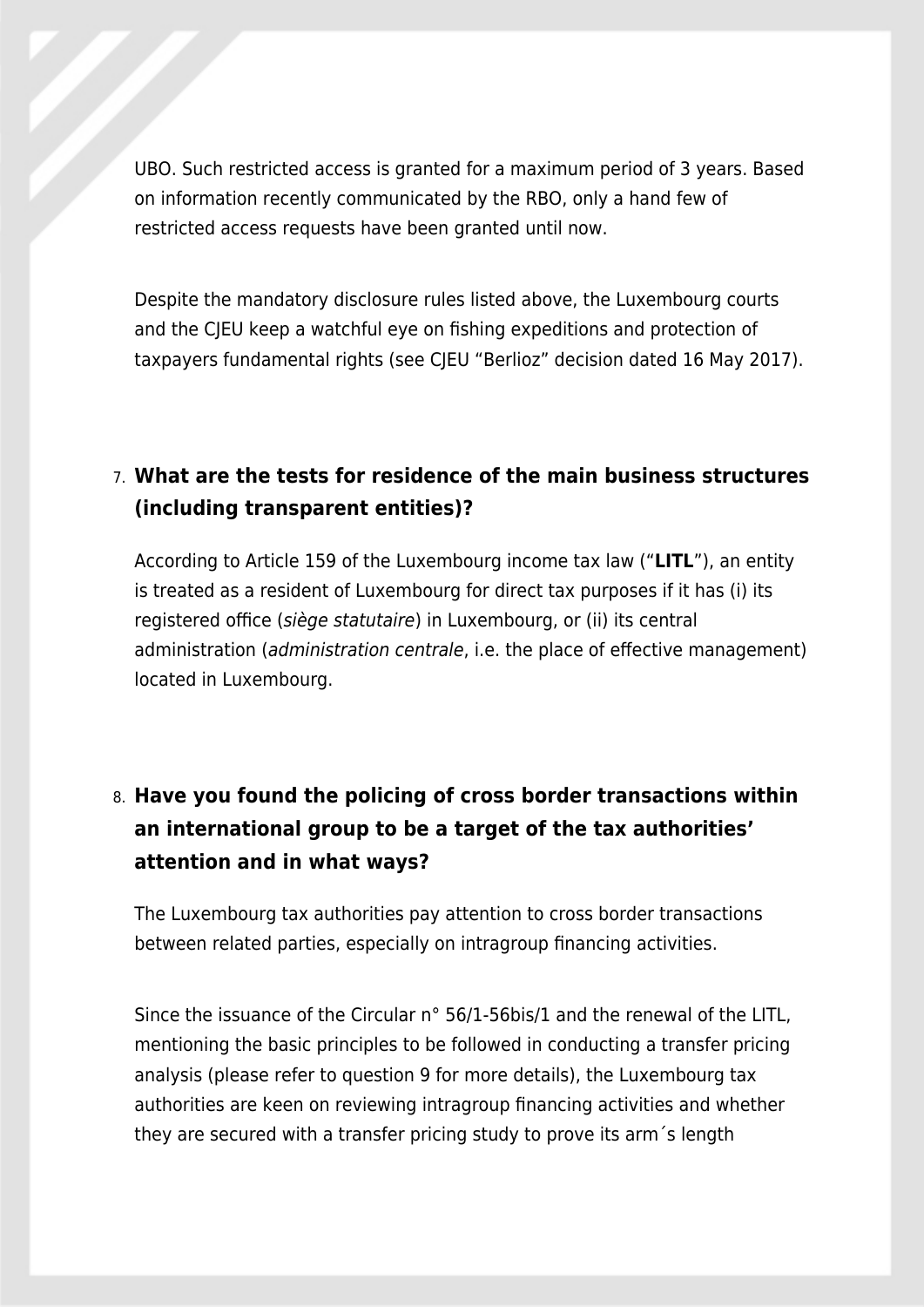UBO. Such restricted access is granted for a maximum period of 3 years. Based on information recently communicated by the RBO, only a hand few of restricted access requests have been granted until now.

Despite the mandatory disclosure rules listed above, the Luxembourg courts and the CJEU keep a watchful eye on fishing expeditions and protection of taxpayers fundamental rights (see CJEU "Berlioz" decision dated 16 May 2017).

### 7. **What are the tests for residence of the main business structures (including transparent entities)?**

According to Article 159 of the Luxembourg income tax law ("**LITL**"), an entity is treated as a resident of Luxembourg for direct tax purposes if it has (i) its registered office (siège statutaire) in Luxembourg, or (ii) its central administration (administration centrale, i.e. the place of effective management) located in Luxembourg.

## 8. **Have you found the policing of cross border transactions within an international group to be a target of the tax authorities' attention and in what ways?**

The Luxembourg tax authorities pay attention to cross border transactions between related parties, especially on intragroup financing activities.

Since the issuance of the Circular n° 56/1-56bis/1 and the renewal of the LITL, mentioning the basic principles to be followed in conducting a transfer pricing analysis (please refer to question 9 for more details), the Luxembourg tax authorities are keen on reviewing intragroup financing activities and whether they are secured with a transfer pricing study to prove its arm´s length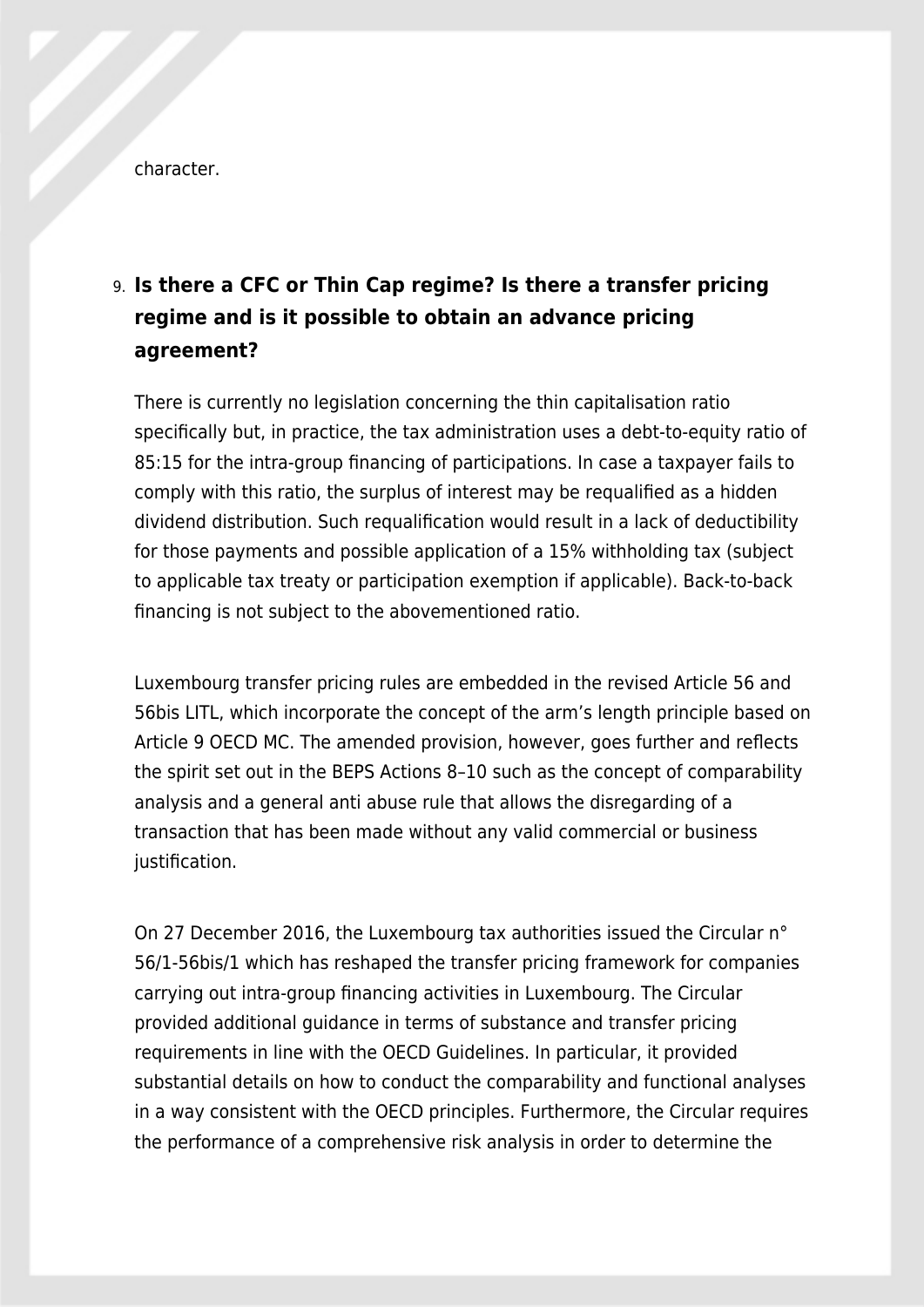character.

## 9. **Is there a CFC or Thin Cap regime? Is there a transfer pricing regime and is it possible to obtain an advance pricing agreement?**

There is currently no legislation concerning the thin capitalisation ratio specifically but, in practice, the tax administration uses a debt-to-equity ratio of 85:15 for the intra-group financing of participations. In case a taxpayer fails to comply with this ratio, the surplus of interest may be requalified as a hidden dividend distribution. Such requalification would result in a lack of deductibility for those payments and possible application of a 15% withholding tax (subject to applicable tax treaty or participation exemption if applicable). Back-to-back financing is not subject to the abovementioned ratio.

Luxembourg transfer pricing rules are embedded in the revised Article 56 and 56bis LITL, which incorporate the concept of the arm's length principle based on Article 9 OECD MC. The amended provision, however, goes further and reflects the spirit set out in the BEPS Actions 8–10 such as the concept of comparability analysis and a general anti abuse rule that allows the disregarding of a transaction that has been made without any valid commercial or business justification.

On 27 December 2016, the Luxembourg tax authorities issued the Circular n° 56/1-56bis/1 which has reshaped the transfer pricing framework for companies carrying out intra-group financing activities in Luxembourg. The Circular provided additional guidance in terms of substance and transfer pricing requirements in line with the OECD Guidelines. In particular, it provided substantial details on how to conduct the comparability and functional analyses in a way consistent with the OECD principles. Furthermore, the Circular requires the performance of a comprehensive risk analysis in order to determine the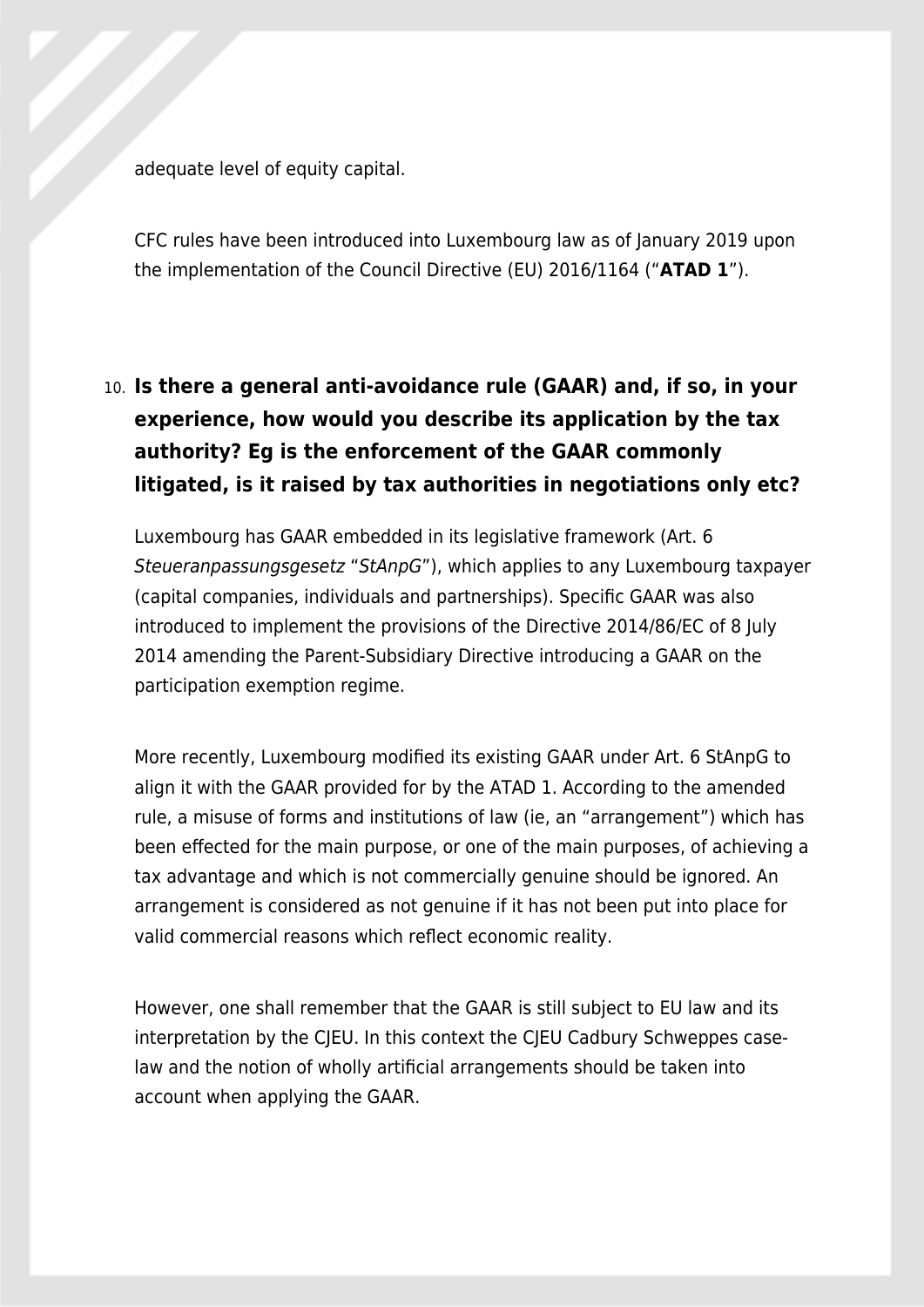adequate level of equity capital.

CFC rules have been introduced into Luxembourg law as of January 2019 upon the implementation of the Council Directive (EU) 2016/1164 ("**ATAD 1**").

# 10. **Is there a general anti-avoidance rule (GAAR) and, if so, in your experience, how would you describe its application by the tax authority? Eg is the enforcement of the GAAR commonly litigated, is it raised by tax authorities in negotiations only etc?**

Luxembourg has GAAR embedded in its legislative framework (Art. 6 Steueranpassungsgesetz "StAnpG"), which applies to any Luxembourg taxpayer (capital companies, individuals and partnerships). Specific GAAR was also introduced to implement the provisions of the Directive 2014/86/EC of 8 July 2014 amending the Parent-Subsidiary Directive introducing a GAAR on the participation exemption regime.

More recently, Luxembourg modified its existing GAAR under Art. 6 StAnpG to align it with the GAAR provided for by the ATAD 1. According to the amended rule, a misuse of forms and institutions of law (ie, an "arrangement") which has been effected for the main purpose, or one of the main purposes, of achieving a tax advantage and which is not commercially genuine should be ignored. An arrangement is considered as not genuine if it has not been put into place for valid commercial reasons which reflect economic reality.

However, one shall remember that the GAAR is still subject to EU law and its interpretation by the CJEU. In this context the CJEU Cadbury Schweppes caselaw and the notion of wholly artificial arrangements should be taken into account when applying the GAAR.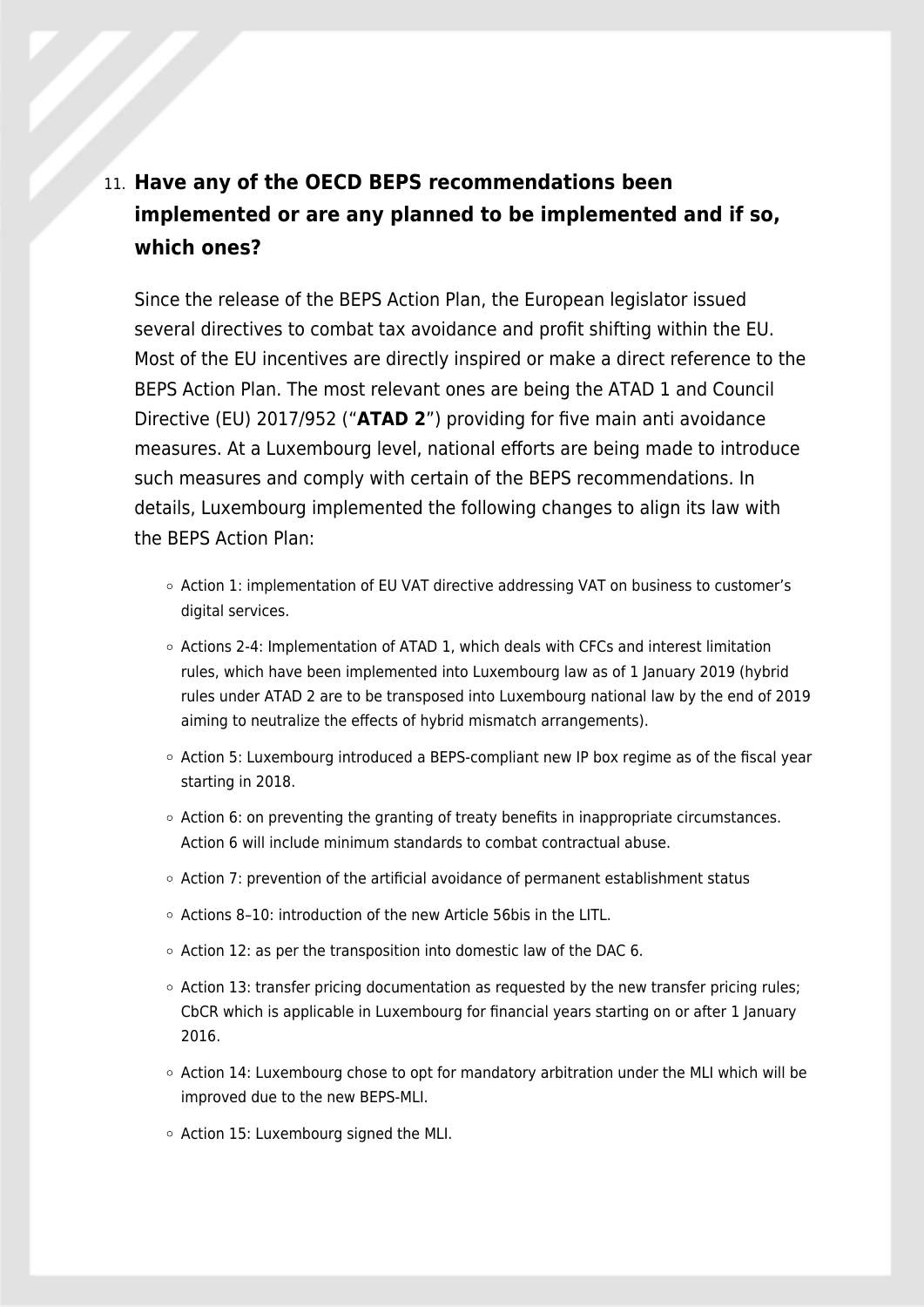# 11. **Have any of the OECD BEPS recommendations been implemented or are any planned to be implemented and if so, which ones?**

Since the release of the BEPS Action Plan, the European legislator issued several directives to combat tax avoidance and profit shifting within the EU. Most of the EU incentives are directly inspired or make a direct reference to the BEPS Action Plan. The most relevant ones are being the ATAD 1 and Council Directive (EU) 2017/952 ("**ATAD 2**") providing for five main anti avoidance measures. At a Luxembourg level, national efforts are being made to introduce such measures and comply with certain of the BEPS recommendations. In details, Luxembourg implemented the following changes to align its law with the BEPS Action Plan:

- Action 1: implementation of EU VAT directive addressing VAT on business to customer's digital services.
- $\circ$  Actions 2-4: Implementation of ATAD 1, which deals with CFCs and interest limitation rules, which have been implemented into Luxembourg law as of 1 January 2019 (hybrid rules under ATAD 2 are to be transposed into Luxembourg national law by the end of 2019 aiming to neutralize the effects of hybrid mismatch arrangements).
- $\circ$  Action 5: Luxembourg introduced a BEPS-compliant new IP box regime as of the fiscal year starting in 2018.
- $\circ$  Action 6: on preventing the granting of treaty benefits in inappropriate circumstances. Action 6 will include minimum standards to combat contractual abuse.
- $\circ$  Action 7: prevention of the artificial avoidance of permanent establishment status
- $\circ$  Actions 8-10: introduction of the new Article 56bis in the LITL.
- $\circ$  Action 12: as per the transposition into domestic law of the DAC 6.
- $\circ$  Action 13: transfer pricing documentation as requested by the new transfer pricing rules; CbCR which is applicable in Luxembourg for financial years starting on or after 1 January 2016.
- $\circ$  Action 14: Luxembourg chose to opt for mandatory arbitration under the MLI which will be improved due to the new BEPS-MLI.
- $\circ$  Action 15: Luxembourg signed the MLI.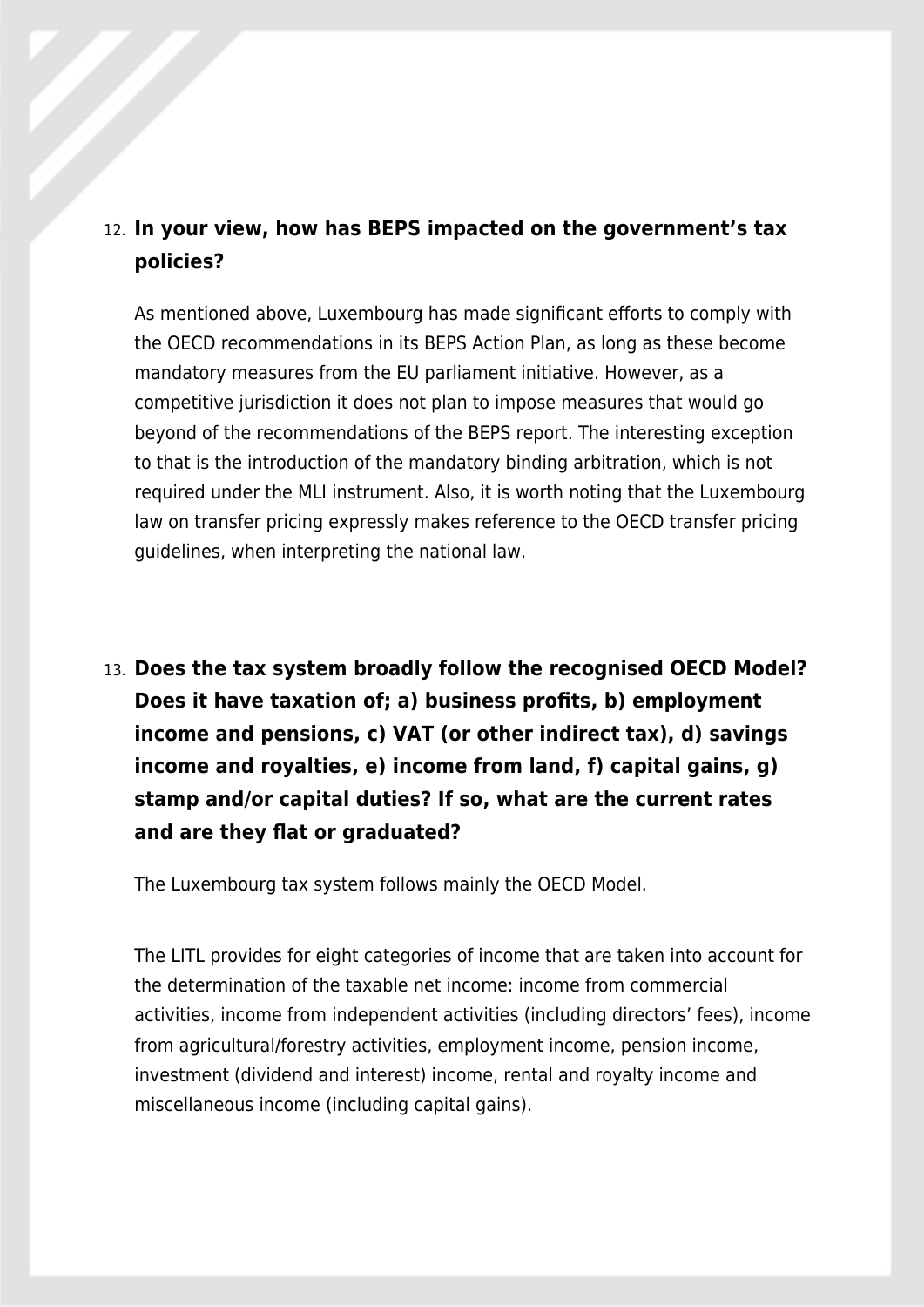### 12. **In your view, how has BEPS impacted on the government's tax policies?**

As mentioned above, Luxembourg has made significant efforts to comply with the OECD recommendations in its BEPS Action Plan, as long as these become mandatory measures from the EU parliament initiative. However, as a competitive jurisdiction it does not plan to impose measures that would go beyond of the recommendations of the BEPS report. The interesting exception to that is the introduction of the mandatory binding arbitration, which is not required under the MLI instrument. Also, it is worth noting that the Luxembourg law on transfer pricing expressly makes reference to the OECD transfer pricing guidelines, when interpreting the national law.

13. **Does the tax system broadly follow the recognised OECD Model? Does it have taxation of; a) business profits, b) employment income and pensions, c) VAT (or other indirect tax), d) savings income and royalties, e) income from land, f) capital gains, g) stamp and/or capital duties? If so, what are the current rates and are they flat or graduated?**

The Luxembourg tax system follows mainly the OECD Model.

The LITL provides for eight categories of income that are taken into account for the determination of the taxable net income: income from commercial activities, income from independent activities (including directors' fees), income from agricultural/forestry activities, employment income, pension income, investment (dividend and interest) income, rental and royalty income and miscellaneous income (including capital gains).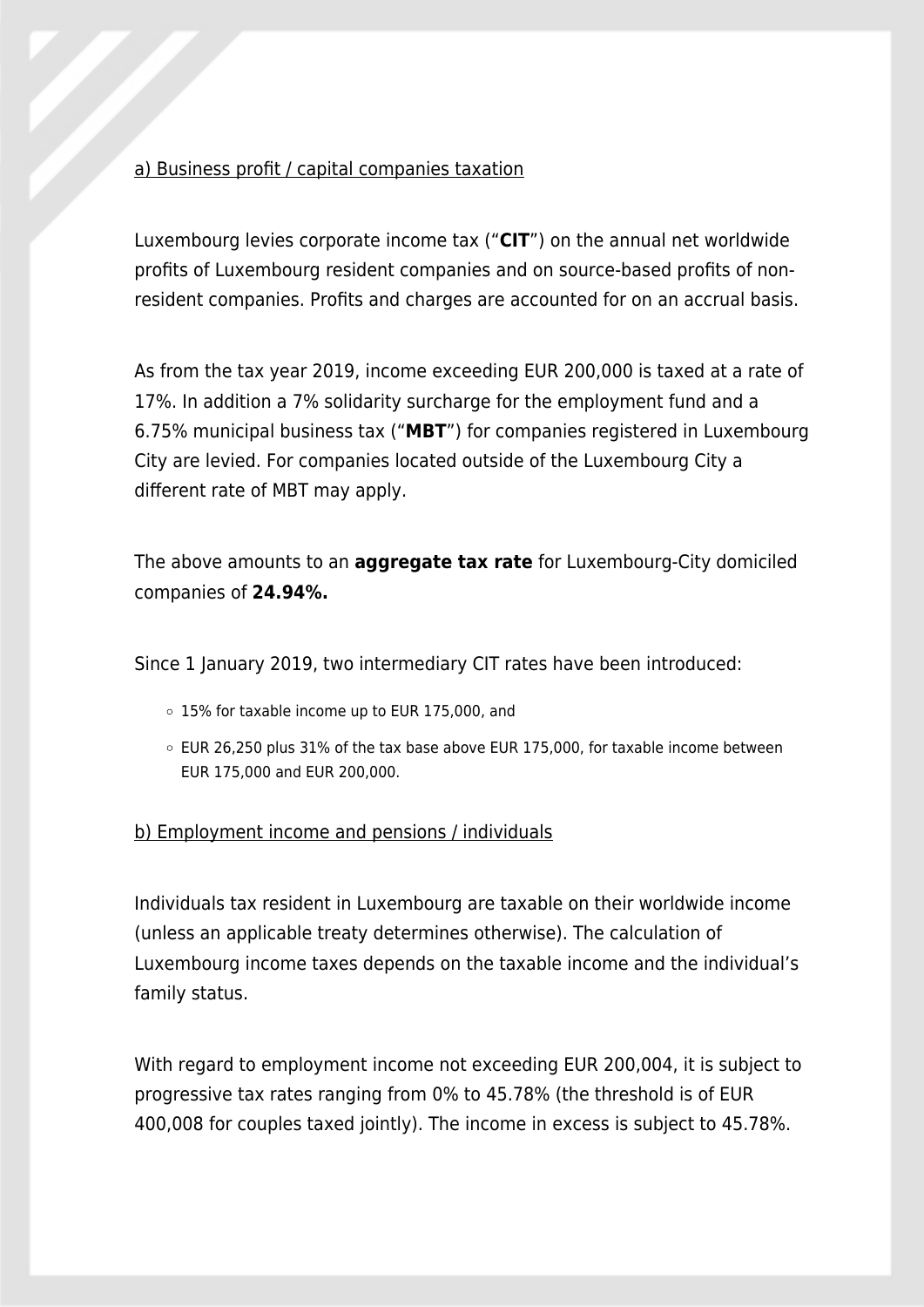#### a) Business profit / capital companies taxation

Luxembourg levies corporate income tax ("**CIT**") on the annual net worldwide profits of Luxembourg resident companies and on source-based profits of nonresident companies. Profits and charges are accounted for on an accrual basis.

As from the tax year 2019, income exceeding EUR 200,000 is taxed at a rate of 17%. In addition a 7% solidarity surcharge for the employment fund and a 6.75% municipal business tax ("**MBT**") for companies registered in Luxembourg City are levied. For companies located outside of the Luxembourg City a different rate of MBT may apply.

The above amounts to an **aggregate tax rate** for Luxembourg-City domiciled companies of **24.94%.**

Since 1 January 2019, two intermediary CIT rates have been introduced:

- 15% for taxable income up to EUR 175,000, and
- EUR 26,250 plus 31% of the tax base above EUR 175,000, for taxable income between EUR 175,000 and EUR 200,000.

b) Employment income and pensions / individuals

Individuals tax resident in Luxembourg are taxable on their worldwide income (unless an applicable treaty determines otherwise). The calculation of Luxembourg income taxes depends on the taxable income and the individual's family status.

With regard to employment income not exceeding EUR 200,004, it is subject to progressive tax rates ranging from 0% to 45.78% (the threshold is of EUR 400,008 for couples taxed jointly). The income in excess is subject to 45.78%.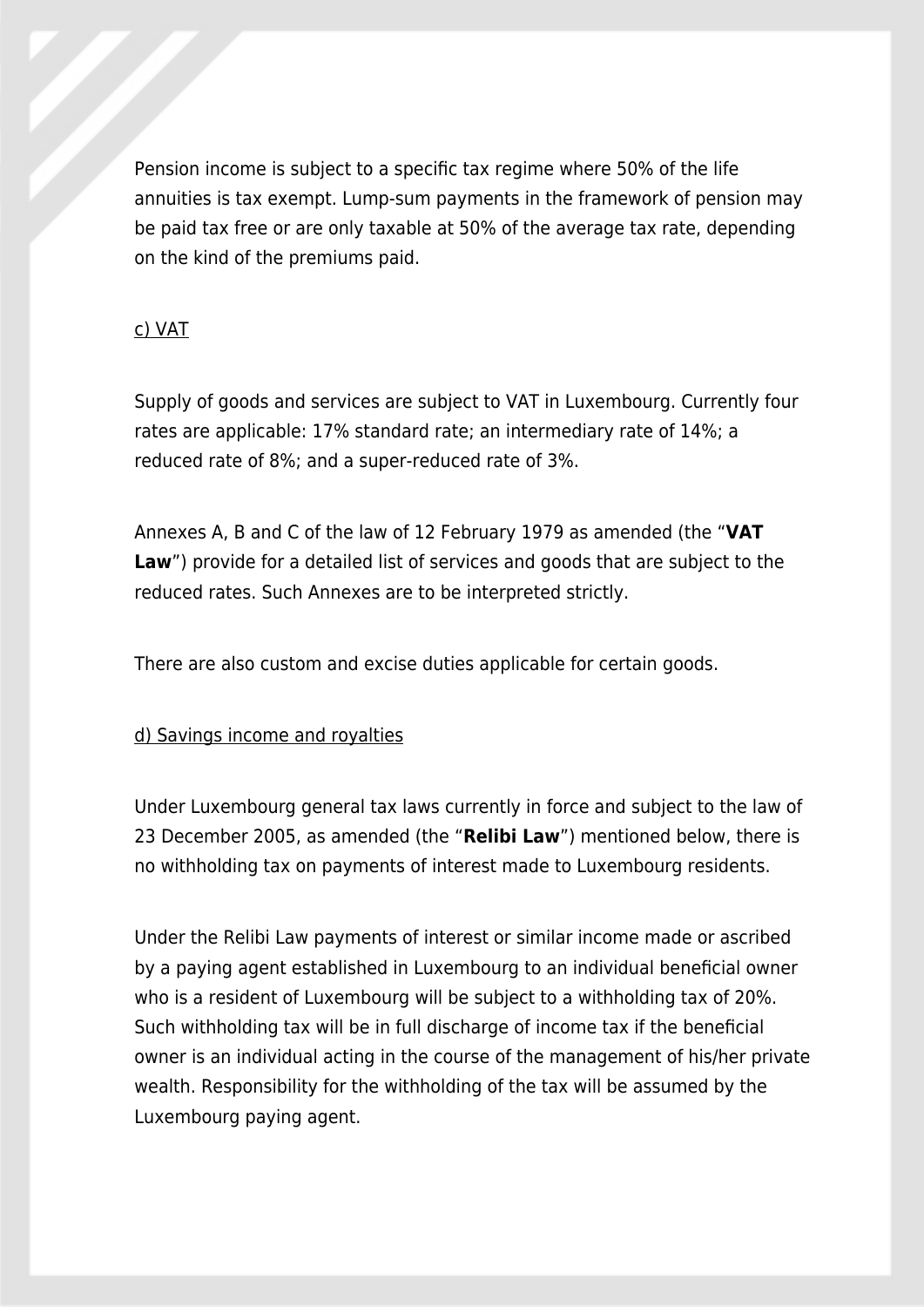Pension income is subject to a specific tax regime where 50% of the life annuities is tax exempt. Lump-sum payments in the framework of pension may be paid tax free or are only taxable at 50% of the average tax rate, depending on the kind of the premiums paid.

#### c) VAT

Supply of goods and services are subject to VAT in Luxembourg. Currently four rates are applicable: 17% standard rate; an intermediary rate of 14%; a reduced rate of 8%; and a super-reduced rate of 3%.

Annexes A, B and C of the law of 12 February 1979 as amended (the "**VAT** Law") provide for a detailed list of services and goods that are subject to the reduced rates. Such Annexes are to be interpreted strictly.

There are also custom and excise duties applicable for certain goods.

#### d) Savings income and royalties

Under Luxembourg general tax laws currently in force and subject to the law of 23 December 2005, as amended (the "**Relibi Law**") mentioned below, there is no withholding tax on payments of interest made to Luxembourg residents.

Under the Relibi Law payments of interest or similar income made or ascribed by a paying agent established in Luxembourg to an individual beneficial owner who is a resident of Luxembourg will be subject to a withholding tax of 20%. Such withholding tax will be in full discharge of income tax if the beneficial owner is an individual acting in the course of the management of his/her private wealth. Responsibility for the withholding of the tax will be assumed by the Luxembourg paying agent.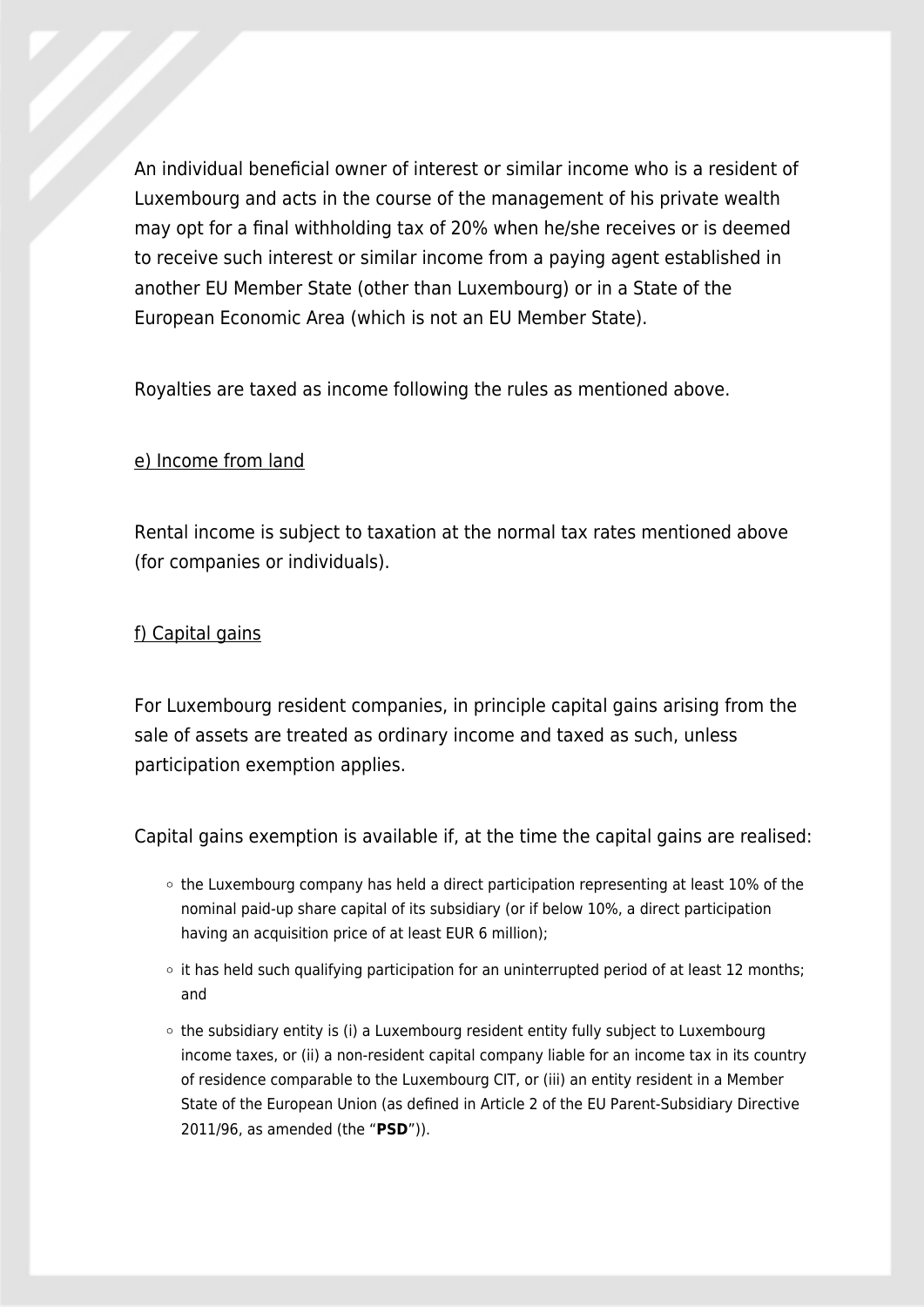An individual beneficial owner of interest or similar income who is a resident of Luxembourg and acts in the course of the management of his private wealth may opt for a final withholding tax of 20% when he/she receives or is deemed to receive such interest or similar income from a paying agent established in another EU Member State (other than Luxembourg) or in a State of the European Economic Area (which is not an EU Member State).

Royalties are taxed as income following the rules as mentioned above.

#### e) Income from land

Rental income is subject to taxation at the normal tax rates mentioned above (for companies or individuals).

#### f) Capital gains

For Luxembourg resident companies, in principle capital gains arising from the sale of assets are treated as ordinary income and taxed as such, unless participation exemption applies.

Capital gains exemption is available if, at the time the capital gains are realised:

- the Luxembourg company has held a direct participation representing at least 10% of the nominal paid-up share capital of its subsidiary (or if below 10%, a direct participation having an acquisition price of at least EUR 6 million);
- $\circ$  it has held such qualifying participation for an uninterrupted period of at least 12 months; and
- $\circ$  the subsidiary entity is (i) a Luxembourg resident entity fully subject to Luxembourg income taxes, or (ii) a non-resident capital company liable for an income tax in its country of residence comparable to the Luxembourg CIT, or (iii) an entity resident in a Member State of the European Union (as defined in Article 2 of the EU Parent-Subsidiary Directive 2011/96, as amended (the "**PSD**")).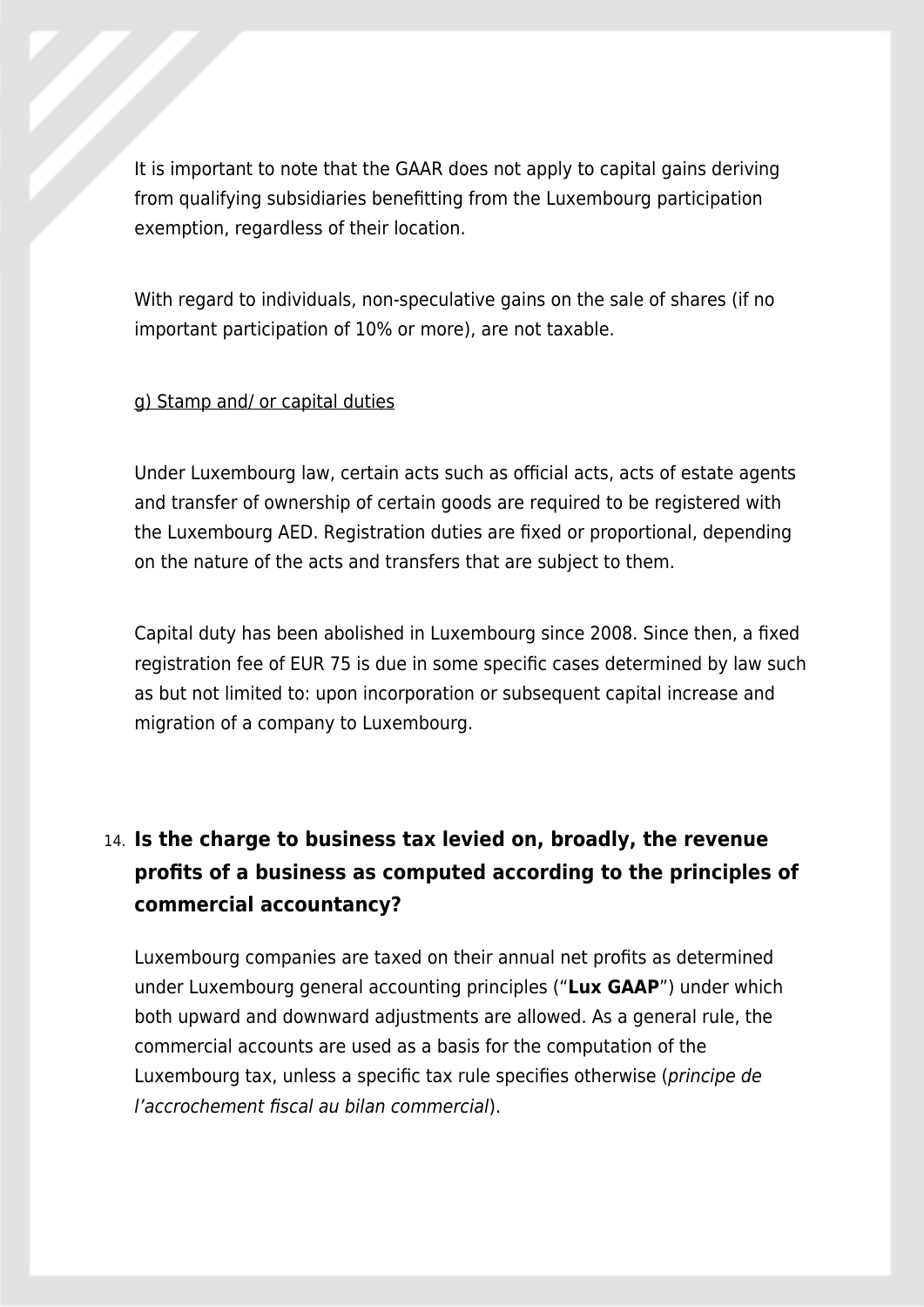It is important to note that the GAAR does not apply to capital gains deriving from qualifying subsidiaries benefitting from the Luxembourg participation exemption, regardless of their location.

With regard to individuals, non-speculative gains on the sale of shares (if no important participation of 10% or more), are not taxable.

#### g) Stamp and/ or capital duties

Under Luxembourg law, certain acts such as official acts, acts of estate agents and transfer of ownership of certain goods are required to be registered with the Luxembourg AED. Registration duties are fixed or proportional, depending on the nature of the acts and transfers that are subject to them.

Capital duty has been abolished in Luxembourg since 2008. Since then, a fixed registration fee of EUR 75 is due in some specific cases determined by law such as but not limited to: upon incorporation or subsequent capital increase and migration of a company to Luxembourg.

# 14. **Is the charge to business tax levied on, broadly, the revenue profits of a business as computed according to the principles of commercial accountancy?**

Luxembourg companies are taxed on their annual net profits as determined under Luxembourg general accounting principles ("**Lux GAAP**") under which both upward and downward adjustments are allowed. As a general rule, the commercial accounts are used as a basis for the computation of the Luxembourg tax, unless a specific tax rule specifies otherwise (principe de l'accrochement fiscal au bilan commercial).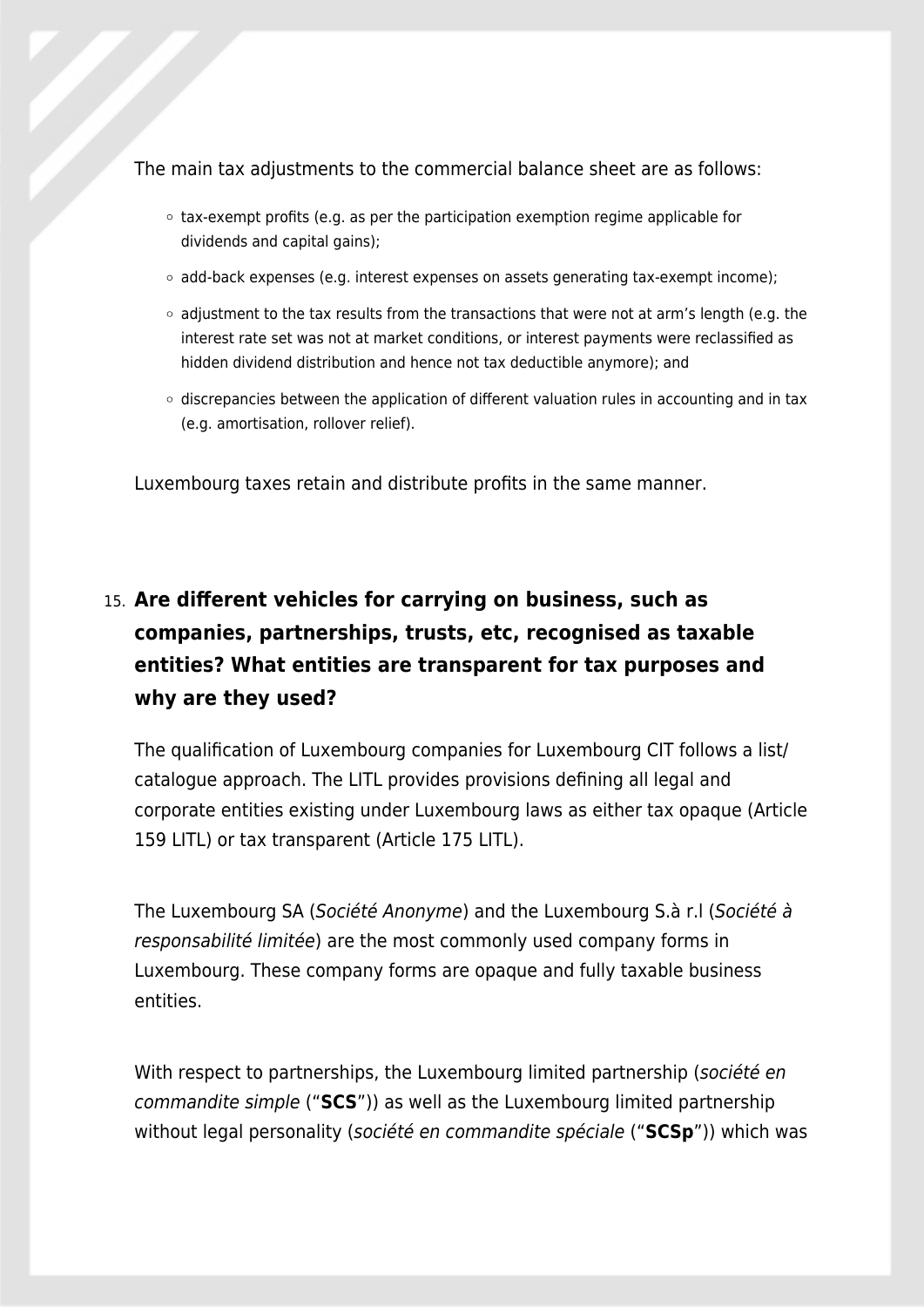The main tax adjustments to the commercial balance sheet are as follows:

- $\circ$  tax-exempt profits (e.g. as per the participation exemption regime applicable for dividends and capital gains);
- $\circ$  add-back expenses (e.g. interest expenses on assets generating tax-exempt income);
- $\circ$  adjustment to the tax results from the transactions that were not at arm's length (e.g. the interest rate set was not at market conditions, or interest payments were reclassified as hidden dividend distribution and hence not tax deductible anymore); and
- $\circ$  discrepancies between the application of different valuation rules in accounting and in tax (e.g. amortisation, rollover relief).

Luxembourg taxes retain and distribute profits in the same manner.

# 15. **Are different vehicles for carrying on business, such as companies, partnerships, trusts, etc, recognised as taxable entities? What entities are transparent for tax purposes and why are they used?**

The qualification of Luxembourg companies for Luxembourg CIT follows a list/ catalogue approach. The LITL provides provisions defining all legal and corporate entities existing under Luxembourg laws as either tax opaque (Article 159 LITL) or tax transparent (Article 175 LITL).

The Luxembourg SA (Société Anonyme) and the Luxembourg S.à r.l (Société à responsabilité limitée) are the most commonly used company forms in Luxembourg. These company forms are opaque and fully taxable business entities.

With respect to partnerships, the Luxembourg limited partnership (société en commandite simple ("**SCS**")) as well as the Luxembourg limited partnership without legal personality (société en commandite spéciale ("**SCSp**")) which was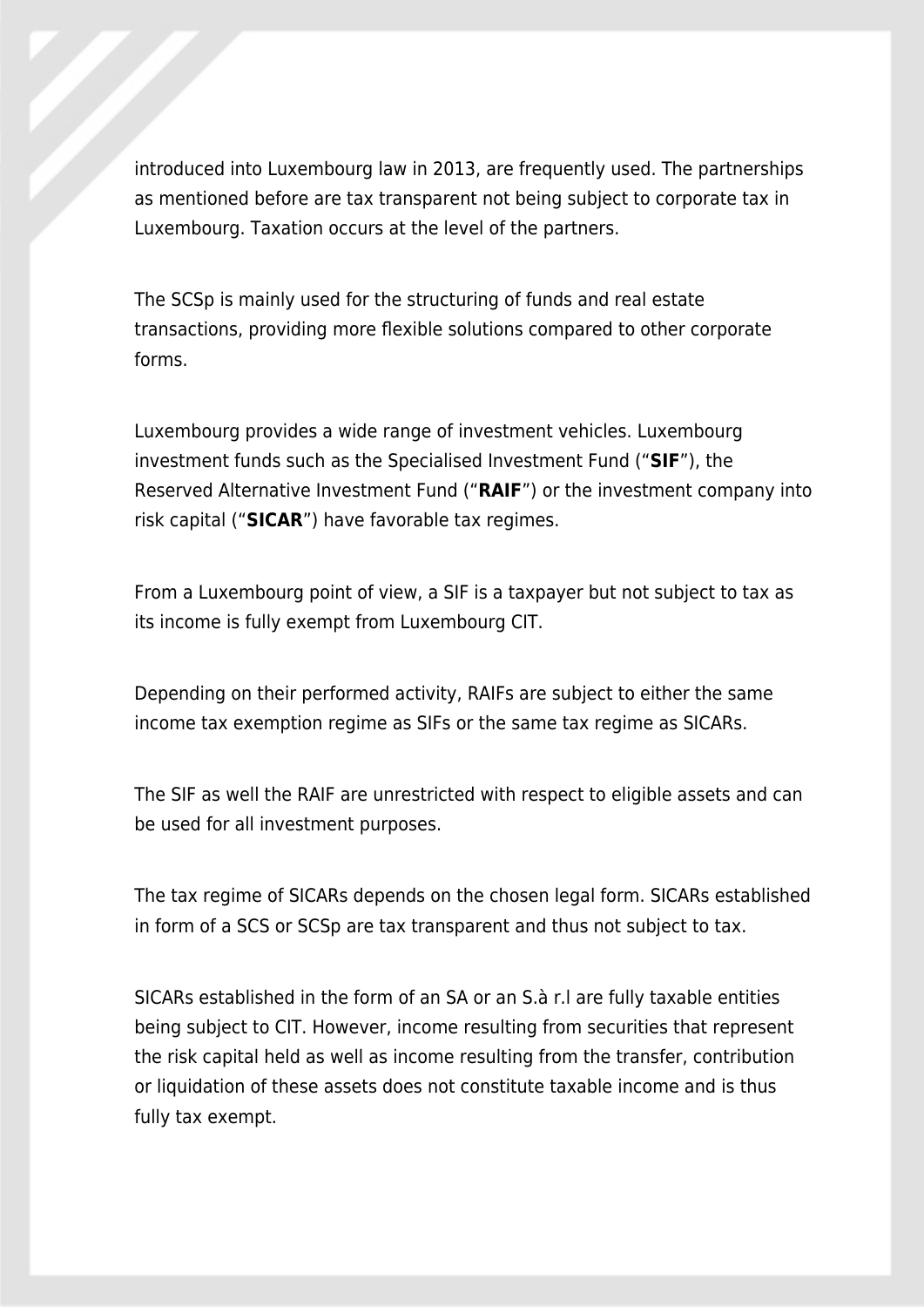introduced into Luxembourg law in 2013, are frequently used. The partnerships as mentioned before are tax transparent not being subject to corporate tax in Luxembourg. Taxation occurs at the level of the partners.

The SCSp is mainly used for the structuring of funds and real estate transactions, providing more flexible solutions compared to other corporate forms.

Luxembourg provides a wide range of investment vehicles. Luxembourg investment funds such as the Specialised Investment Fund ("**SIF**"), the Reserved Alternative Investment Fund ("**RAIF**") or the investment company into risk capital ("**SICAR**") have favorable tax regimes.

From a Luxembourg point of view, a SIF is a taxpayer but not subject to tax as its income is fully exempt from Luxembourg CIT.

Depending on their performed activity, RAIFs are subject to either the same income tax exemption regime as SIFs or the same tax regime as SICARs.

The SIF as well the RAIF are unrestricted with respect to eligible assets and can be used for all investment purposes.

The tax regime of SICARs depends on the chosen legal form. SICARs established in form of a SCS or SCSp are tax transparent and thus not subject to tax.

SICARs established in the form of an SA or an S.à r.l are fully taxable entities being subject to CIT. However, income resulting from securities that represent the risk capital held as well as income resulting from the transfer, contribution or liquidation of these assets does not constitute taxable income and is thus fully tax exempt.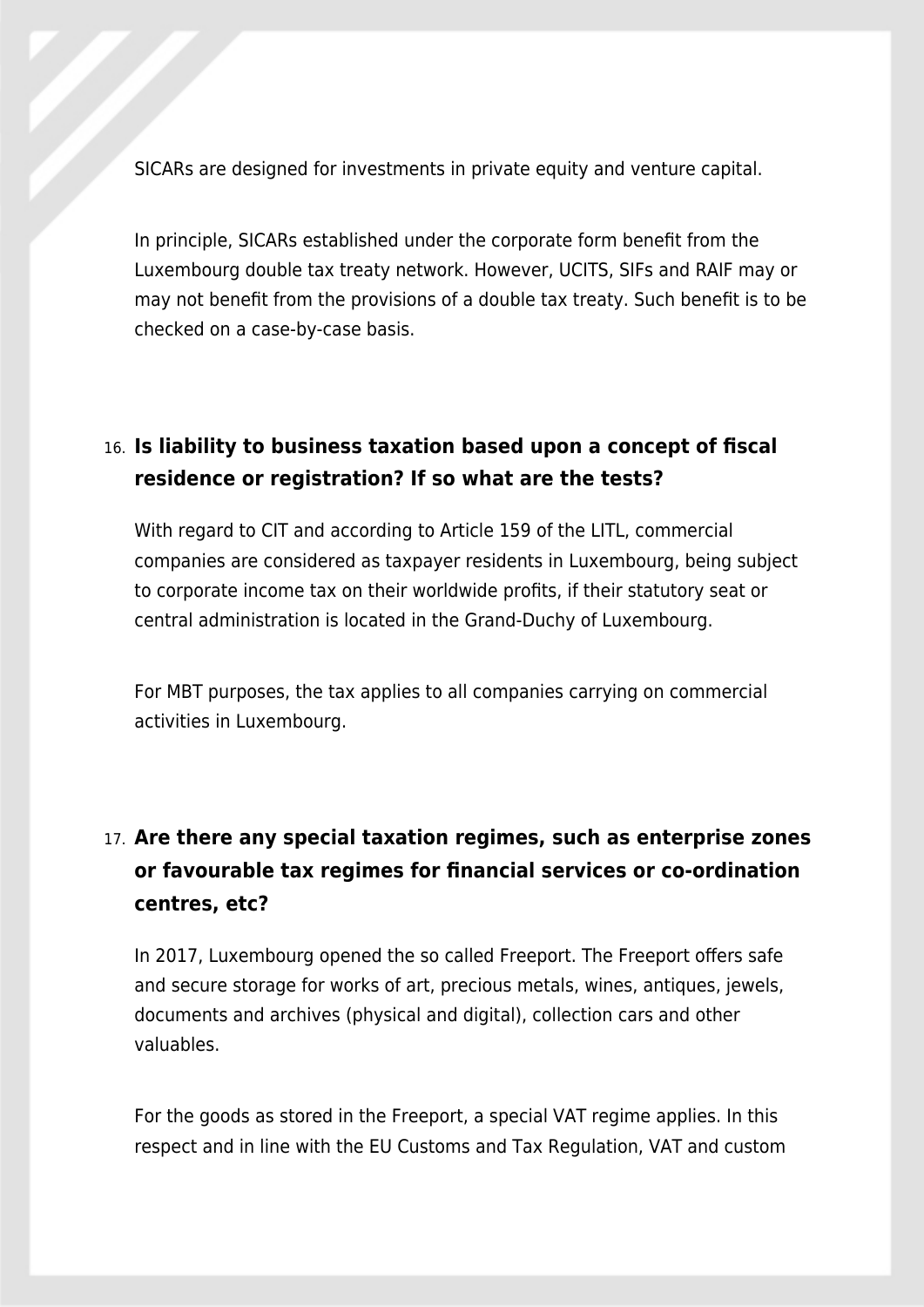SICARs are designed for investments in private equity and venture capital.

In principle, SICARs established under the corporate form benefit from the Luxembourg double tax treaty network. However, UCITS, SIFs and RAIF may or may not benefit from the provisions of a double tax treaty. Such benefit is to be checked on a case-by-case basis.

## 16. **Is liability to business taxation based upon a concept of fiscal residence or registration? If so what are the tests?**

With regard to CIT and according to Article 159 of the LITL, commercial companies are considered as taxpayer residents in Luxembourg, being subject to corporate income tax on their worldwide profits, if their statutory seat or central administration is located in the Grand-Duchy of Luxembourg.

For MBT purposes, the tax applies to all companies carrying on commercial activities in Luxembourg.

# 17. **Are there any special taxation regimes, such as enterprise zones or favourable tax regimes for financial services or co-ordination centres, etc?**

In 2017, Luxembourg opened the so called Freeport. The Freeport offers safe and secure storage for works of art, precious metals, wines, antiques, jewels, documents and archives (physical and digital), collection cars and other valuables.

For the goods as stored in the Freeport, a special VAT regime applies. In this respect and in line with the EU Customs and Tax Regulation, VAT and custom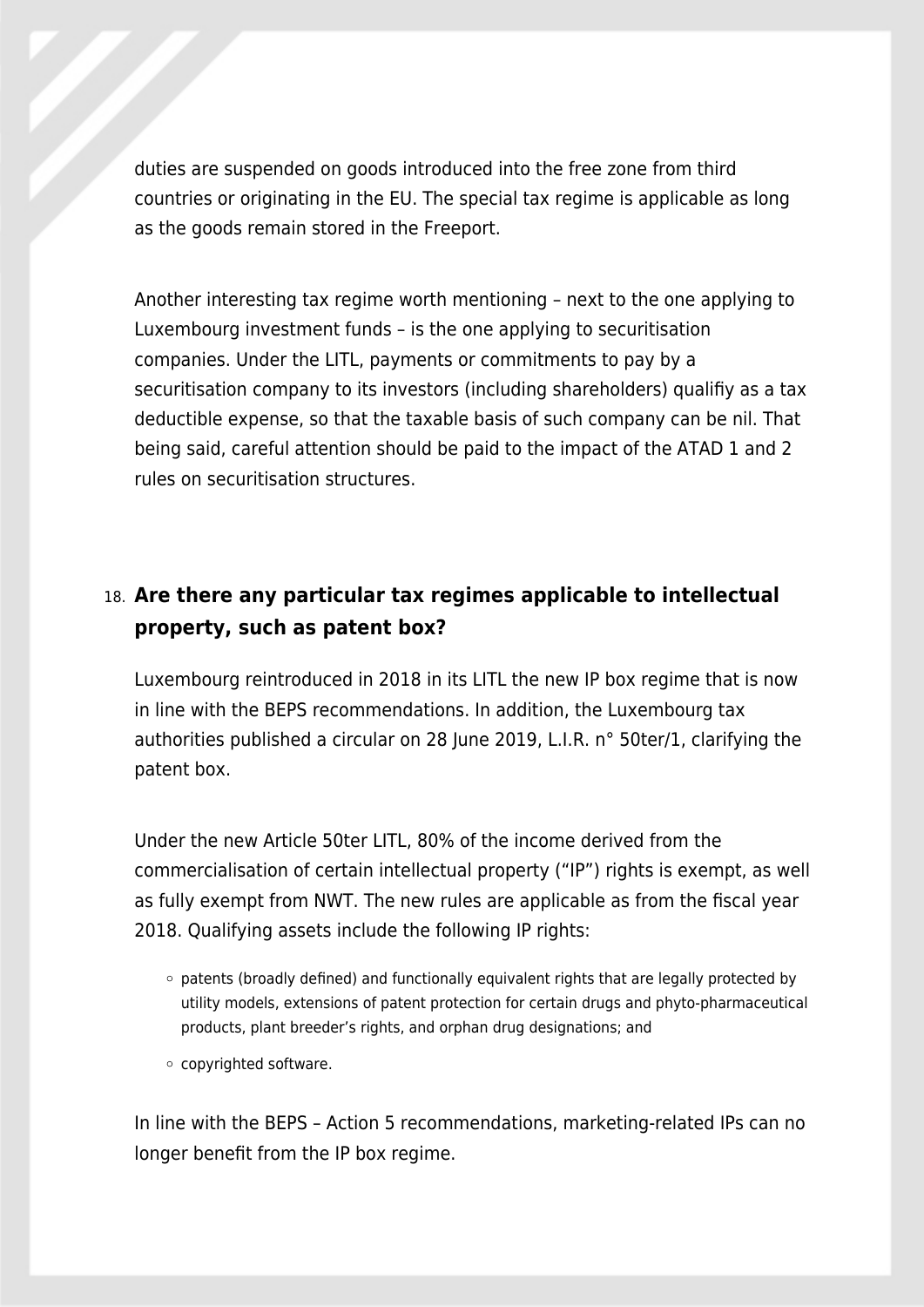duties are suspended on goods introduced into the free zone from third countries or originating in the EU. The special tax regime is applicable as long as the goods remain stored in the Freeport.

Another interesting tax regime worth mentioning – next to the one applying to Luxembourg investment funds – is the one applying to securitisation companies. Under the LITL, payments or commitments to pay by a securitisation company to its investors (including shareholders) qualifiy as a tax deductible expense, so that the taxable basis of such company can be nil. That being said, careful attention should be paid to the impact of the ATAD 1 and 2 rules on securitisation structures.

### 18. **Are there any particular tax regimes applicable to intellectual property, such as patent box?**

Luxembourg reintroduced in 2018 in its LITL the new IP box regime that is now in line with the BEPS recommendations. In addition, the Luxembourg tax authorities published a circular on 28 June 2019, L.I.R. n° 50ter/1, clarifying the patent box.

Under the new Article 50ter LITL, 80% of the income derived from the commercialisation of certain intellectual property ("IP") rights is exempt, as well as fully exempt from NWT. The new rules are applicable as from the fiscal year 2018. Qualifying assets include the following IP rights:

- $\circ$  patents (broadly defined) and functionally equivalent rights that are legally protected by utility models, extensions of patent protection for certain drugs and phyto-pharmaceutical products, plant breeder's rights, and orphan drug designations; and
- copyrighted software.

In line with the BEPS – Action 5 recommendations, marketing-related IPs can no longer benefit from the IP box regime.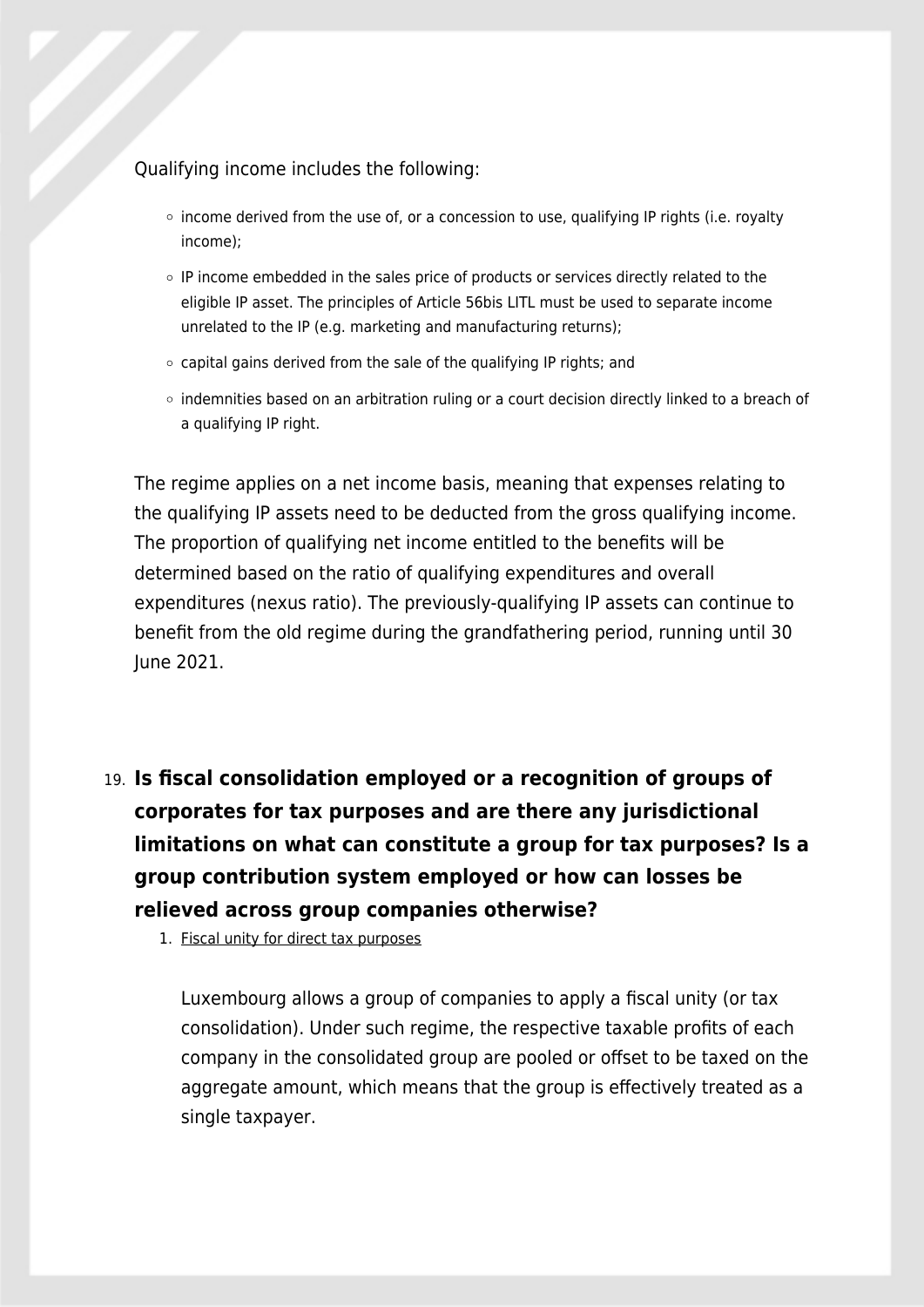#### Qualifying income includes the following:

- $\circ$  income derived from the use of, or a concession to use, qualifying IP rights (i.e. royalty income);
- $\circ$  IP income embedded in the sales price of products or services directly related to the eligible IP asset. The principles of Article 56bis LITL must be used to separate income unrelated to the IP (e.g. marketing and manufacturing returns);
- $\circ$  capital gains derived from the sale of the qualifying IP rights; and
- o indemnities based on an arbitration ruling or a court decision directly linked to a breach of a qualifying IP right.

The regime applies on a net income basis, meaning that expenses relating to the qualifying IP assets need to be deducted from the gross qualifying income. The proportion of qualifying net income entitled to the benefits will be determined based on the ratio of qualifying expenditures and overall expenditures (nexus ratio). The previously-qualifying IP assets can continue to benefit from the old regime during the grandfathering period, running until 30 June 2021.

19. **Is fiscal consolidation employed or a recognition of groups of corporates for tax purposes and are there any jurisdictional limitations on what can constitute a group for tax purposes? Is a group contribution system employed or how can losses be relieved across group companies otherwise?**

1. Fiscal unity for direct tax purposes

Luxembourg allows a group of companies to apply a fiscal unity (or tax consolidation). Under such regime, the respective taxable profits of each company in the consolidated group are pooled or offset to be taxed on the aggregate amount, which means that the group is effectively treated as a single taxpayer.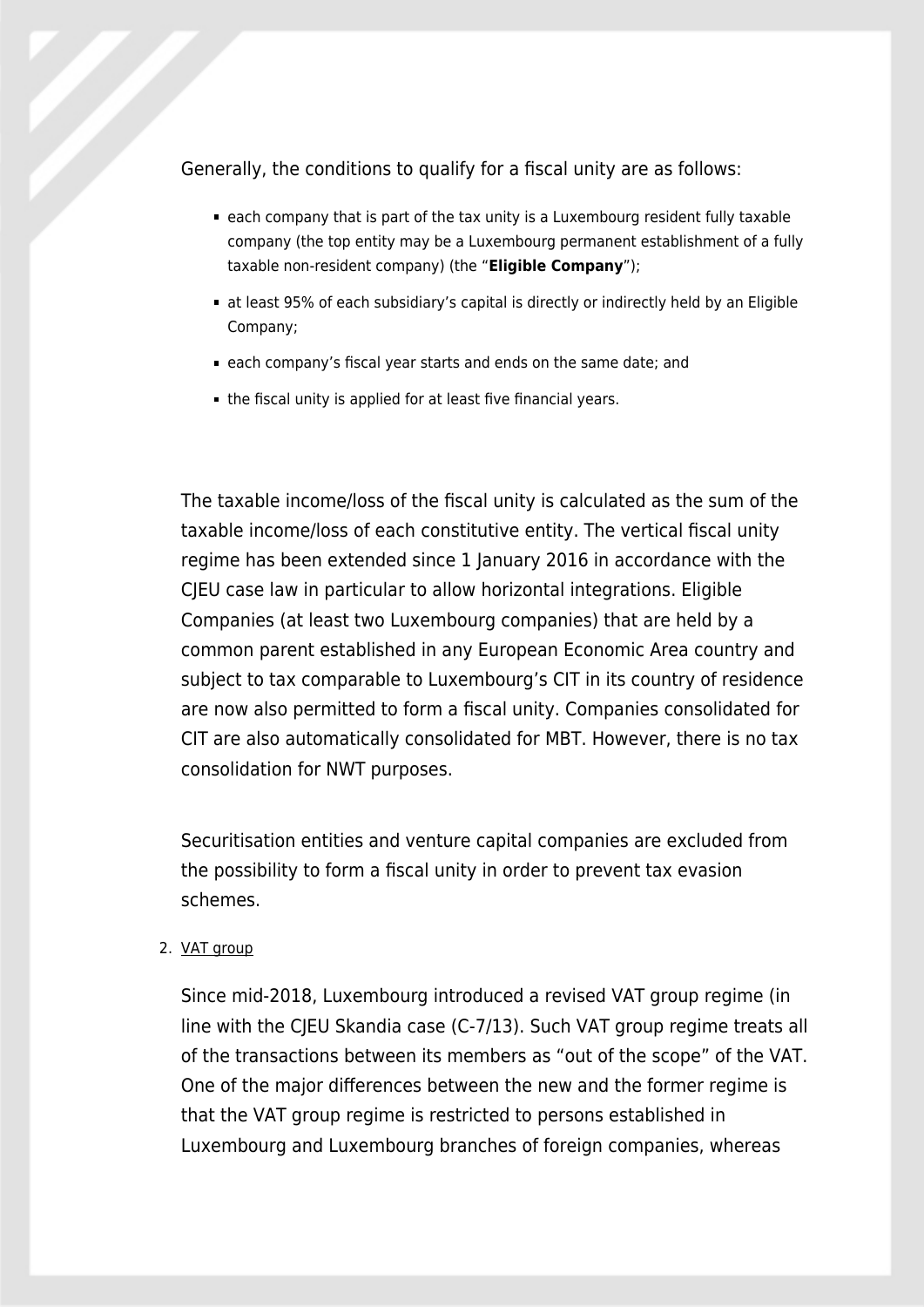Generally, the conditions to qualify for a fiscal unity are as follows:

- each company that is part of the tax unity is a Luxembourg resident fully taxable company (the top entity may be a Luxembourg permanent establishment of a fully taxable non-resident company) (the "**Eligible Company**");
- at least 95% of each subsidiary's capital is directly or indirectly held by an Eligible Company;
- each company's fiscal year starts and ends on the same date; and
- the fiscal unity is applied for at least five financial years.

The taxable income/loss of the fiscal unity is calculated as the sum of the taxable income/loss of each constitutive entity. The vertical fiscal unity regime has been extended since 1 January 2016 in accordance with the CJEU case law in particular to allow horizontal integrations. Eligible Companies (at least two Luxembourg companies) that are held by a common parent established in any European Economic Area country and subject to tax comparable to Luxembourg's CIT in its country of residence are now also permitted to form a fiscal unity. Companies consolidated for CIT are also automatically consolidated for MBT. However, there is no tax consolidation for NWT purposes.

Securitisation entities and venture capital companies are excluded from the possibility to form a fiscal unity in order to prevent tax evasion schemes.

#### 2. VAT group

Since mid-2018, Luxembourg introduced a revised VAT group regime (in line with the CJEU Skandia case (C-7/13). Such VAT group regime treats all of the transactions between its members as "out of the scope" of the VAT. One of the major differences between the new and the former regime is that the VAT group regime is restricted to persons established in Luxembourg and Luxembourg branches of foreign companies, whereas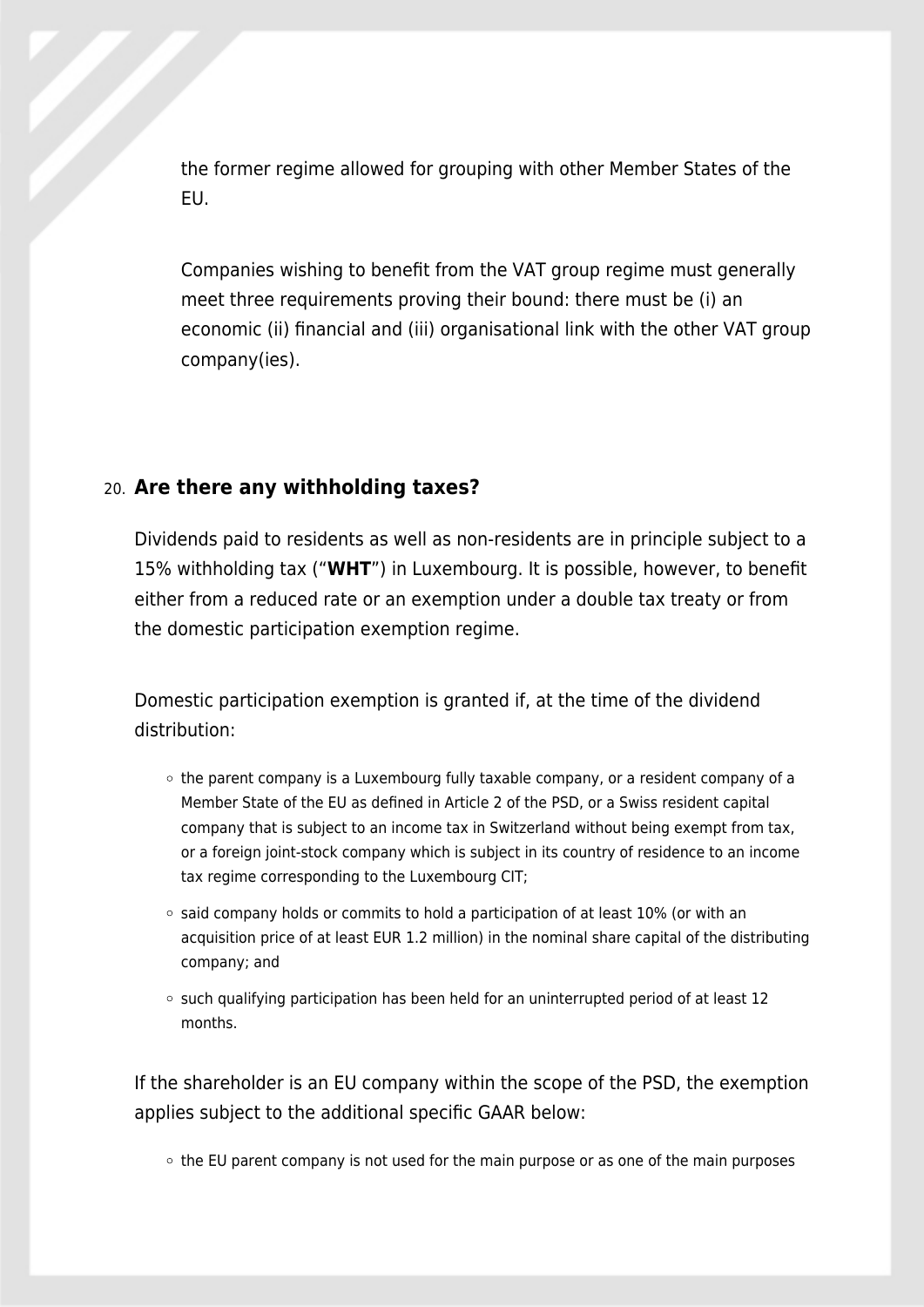the former regime allowed for grouping with other Member States of the EU.

Companies wishing to benefit from the VAT group regime must generally meet three requirements proving their bound: there must be (i) an economic (ii) financial and (iii) organisational link with the other VAT group company(ies).

#### 20. **Are there any withholding taxes?**

Dividends paid to residents as well as non-residents are in principle subject to a 15% withholding tax ("**WHT**") in Luxembourg. It is possible, however, to benefit either from a reduced rate or an exemption under a double tax treaty or from the domestic participation exemption regime.

Domestic participation exemption is granted if, at the time of the dividend distribution:

- $\circ$  the parent company is a Luxembourg fully taxable company, or a resident company of a Member State of the EU as defined in Article 2 of the PSD, or a Swiss resident capital company that is subject to an income tax in Switzerland without being exempt from tax, or a foreign joint-stock company which is subject in its country of residence to an income tax regime corresponding to the Luxembourg CIT;
- $\circ$  said company holds or commits to hold a participation of at least 10% (or with an acquisition price of at least EUR 1.2 million) in the nominal share capital of the distributing company; and
- $\circ$  such qualifying participation has been held for an uninterrupted period of at least 12 months.

If the shareholder is an EU company within the scope of the PSD, the exemption applies subject to the additional specific GAAR below:

 $\circ$  the EU parent company is not used for the main purpose or as one of the main purposes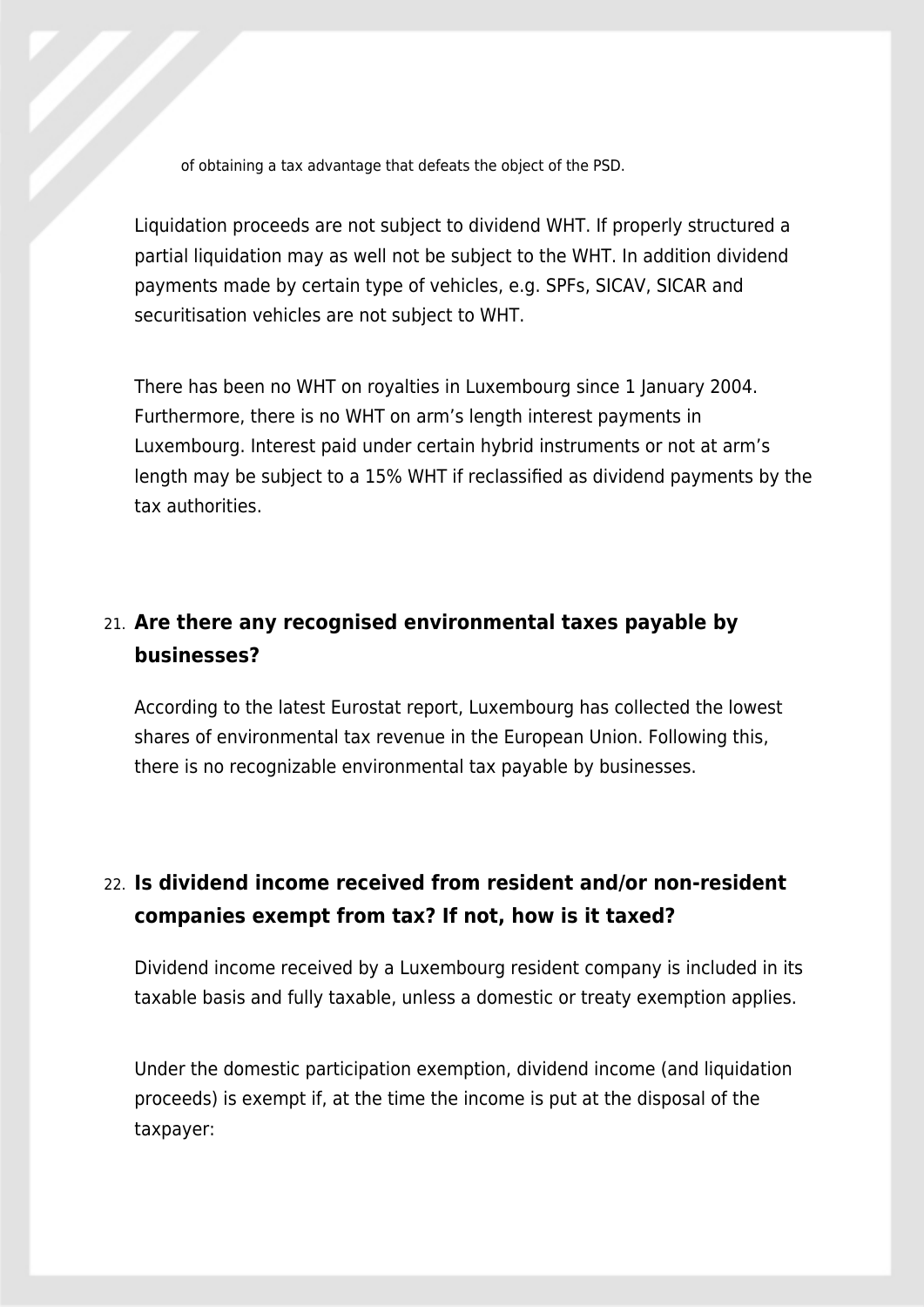of obtaining a tax advantage that defeats the object of the PSD.

Liquidation proceeds are not subject to dividend WHT. If properly structured a partial liquidation may as well not be subject to the WHT. In addition dividend payments made by certain type of vehicles, e.g. SPFs, SICAV, SICAR and securitisation vehicles are not subject to WHT.

There has been no WHT on royalties in Luxembourg since 1 January 2004. Furthermore, there is no WHT on arm's length interest payments in Luxembourg. Interest paid under certain hybrid instruments or not at arm's length may be subject to a 15% WHT if reclassified as dividend payments by the tax authorities.

### 21. **Are there any recognised environmental taxes payable by businesses?**

According to the latest Eurostat report, Luxembourg has collected the lowest shares of environmental tax revenue in the European Union. Following this, there is no recognizable environmental tax payable by businesses.

### 22. **Is dividend income received from resident and/or non-resident companies exempt from tax? If not, how is it taxed?**

Dividend income received by a Luxembourg resident company is included in its taxable basis and fully taxable, unless a domestic or treaty exemption applies.

Under the domestic participation exemption, dividend income (and liquidation proceeds) is exempt if, at the time the income is put at the disposal of the taxpayer: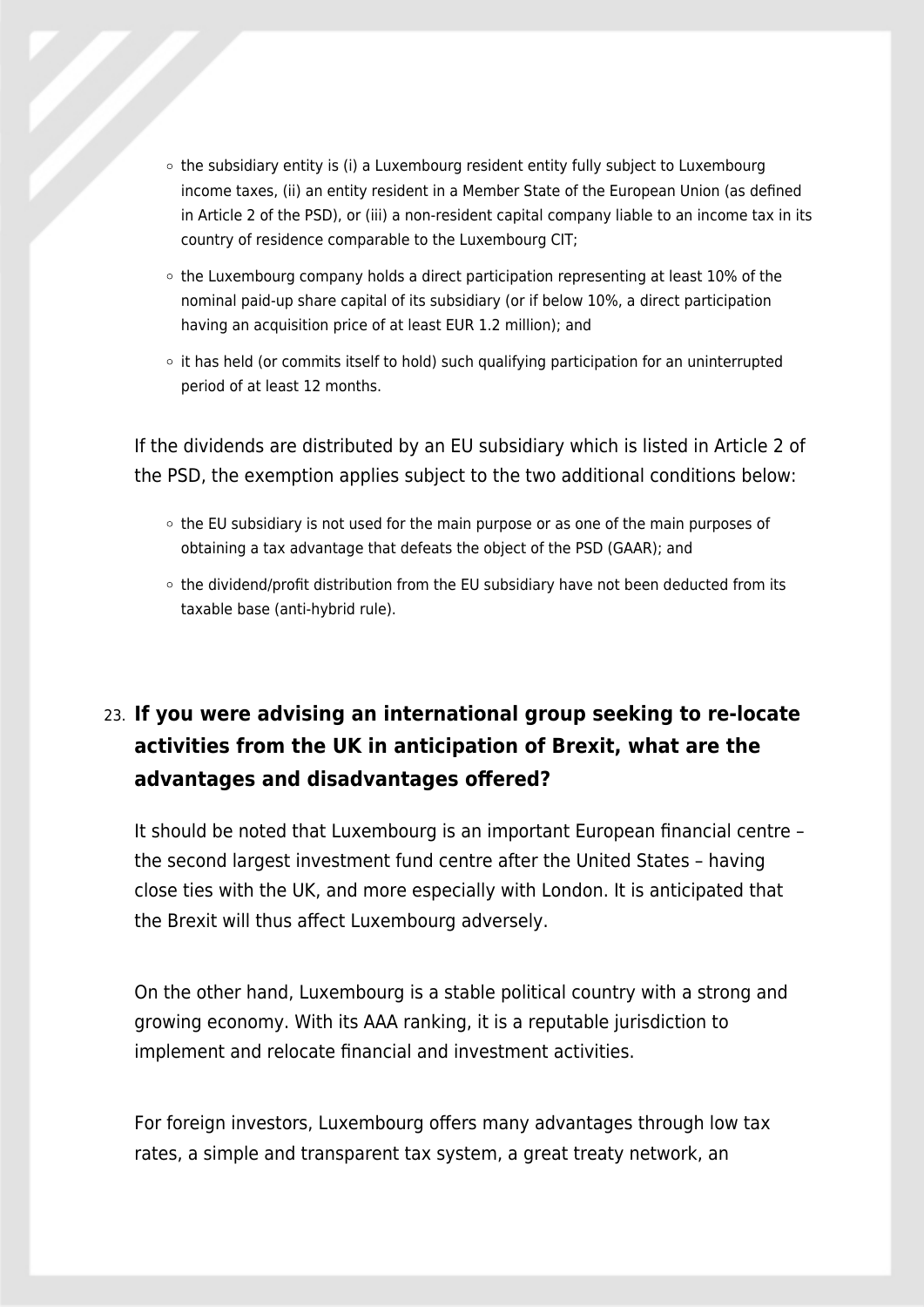- $\circ$  the subsidiary entity is (i) a Luxembourg resident entity fully subject to Luxembourg income taxes, (ii) an entity resident in a Member State of the European Union (as defined in Article 2 of the PSD), or (iii) a non-resident capital company liable to an income tax in its country of residence comparable to the Luxembourg CIT;
- $\circ$  the Luxembourg company holds a direct participation representing at least 10% of the nominal paid-up share capital of its subsidiary (or if below 10%, a direct participation having an acquisition price of at least EUR 1.2 million); and
- $\circ$  it has held (or commits itself to hold) such qualifying participation for an uninterrupted period of at least 12 months.

If the dividends are distributed by an EU subsidiary which is listed in Article 2 of the PSD, the exemption applies subject to the two additional conditions below:

- o the EU subsidiary is not used for the main purpose or as one of the main purposes of obtaining a tax advantage that defeats the object of the PSD (GAAR); and
- o the dividend/profit distribution from the EU subsidiary have not been deducted from its taxable base (anti-hybrid rule).

### 23. **If you were advising an international group seeking to re-locate activities from the UK in anticipation of Brexit, what are the advantages and disadvantages offered?**

It should be noted that Luxembourg is an important European financial centre – the second largest investment fund centre after the United States – having close ties with the UK, and more especially with London. It is anticipated that the Brexit will thus affect Luxembourg adversely.

On the other hand, Luxembourg is a stable political country with a strong and growing economy. With its AAA ranking, it is a reputable jurisdiction to implement and relocate financial and investment activities.

For foreign investors, Luxembourg offers many advantages through low tax rates, a simple and transparent tax system, a great treaty network, an